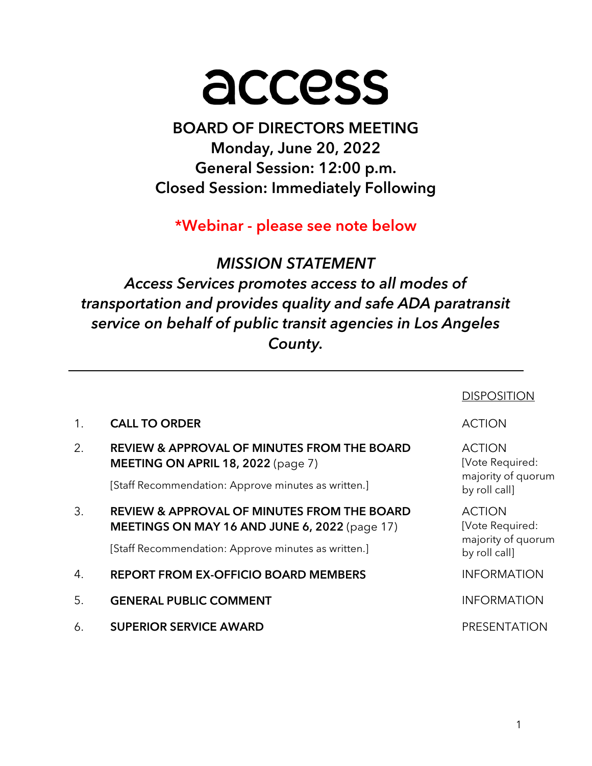# access

BOARD OF DIRECTORS MEETING Monday, June 20, 2022 General Session: 12:00 p.m. Closed Session: Immediately Following

\*Webinar - please see note below

# MISSION STATEMENT

Access Services promotes access to all modes of transportation and provides quality and safe ADA paratransit service on behalf of public transit agencies in Los Angeles County.

|                |                                                                                                         | <b>DISPOSITIC</b>                                      |
|----------------|---------------------------------------------------------------------------------------------------------|--------------------------------------------------------|
| 1 <sub>1</sub> | <b>CALL TO ORDER</b>                                                                                    | <b>ACTION</b>                                          |
| 2.             | <b>REVIEW &amp; APPROVAL OF MINUTES FROM THE BOARD</b><br><b>MEETING ON APRIL 18, 2022</b> (page 7)     | <b>ACTION</b><br>[Vote Required:<br>majority of quorum |
|                | [Staff Recommendation: Approve minutes as written.]                                                     | by roll call]                                          |
| 3.             | <b>REVIEW &amp; APPROVAL OF MINUTES FROM THE BOARD</b><br>MEETINGS ON MAY 16 AND JUNE 6, 2022 (page 17) | <b>ACTION</b><br>[Vote Required:                       |
|                | [Staff Recommendation: Approve minutes as written.]                                                     | majority of quorum<br>by roll call]                    |
| 4.             | <b>REPORT FROM EX-OFFICIO BOARD MEMBERS</b>                                                             | <b>INFORMATION</b>                                     |
| 5.             | <b>GENERAL PUBLIC COMMENT</b>                                                                           | <b>INFORMATION</b>                                     |
| 6.             | <b>SUPERIOR SERVICE AWARD</b>                                                                           | <b>PRESENTATION</b>                                    |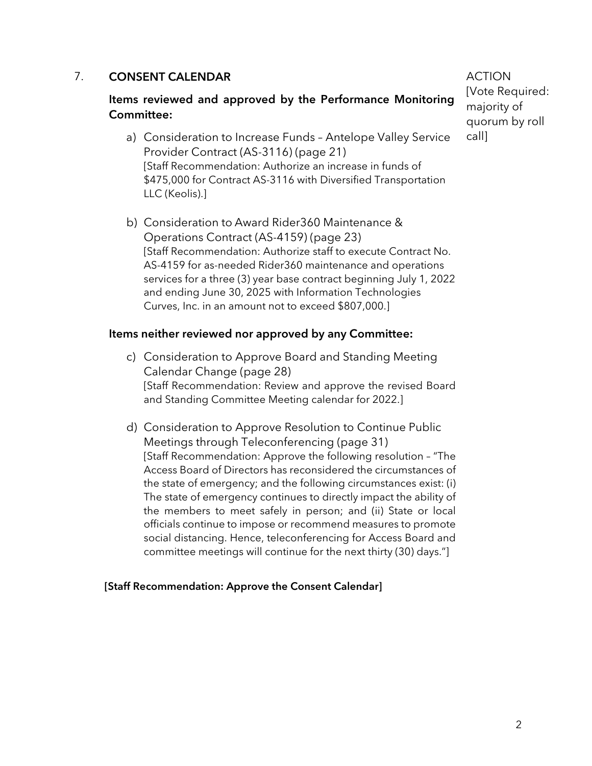#### 7. CONSENT CALENDAR

#### Items reviewed and approved by the Performance Monitoring Committee:

- a) Consideration to Increase Funds Antelope Valley Service Provider Contract (AS-3116) (page 21) [Staff Recommendation: Authorize an increase in funds of \$475,000 for Contract AS-3116 with Diversified Transportation LLC (Keolis).]
- b) Consideration to Award Rider360 Maintenance & Operations Contract (AS-4159) (page 23) [Staff Recommendation: Authorize staff to execute Contract No. AS-4159 for as-needed Rider360 maintenance and operations services for a three (3) year base contract beginning July 1, 2022 and ending June 30, 2025 with Information Technologies Curves, Inc. in an amount not to exceed \$807,000.]

#### Items neither reviewed nor approved by any Committee:

- c) Consideration to Approve Board and Standing Meeting Calendar Change (page 28) [Staff Recommendation: Review and approve the revised Board and Standing Committee Meeting calendar for 2022.]
- d) Consideration to Approve Resolution to Continue Public Meetings through Teleconferencing (page 31) [Staff Recommendation: Approve the following resolution – "The Access Board of Directors has reconsidered the circumstances of the state of emergency; and the following circumstances exist: (i) The state of emergency continues to directly impact the ability of the members to meet safely in person; and (ii) State or local officials continue to impose or recommend measures to promote social distancing. Hence, teleconferencing for Access Board and committee meetings will continue for the next thirty (30) days."]

#### [Staff Recommendation: Approve the Consent Calendar]

ACTION [Vote Required: majority of quorum by roll call]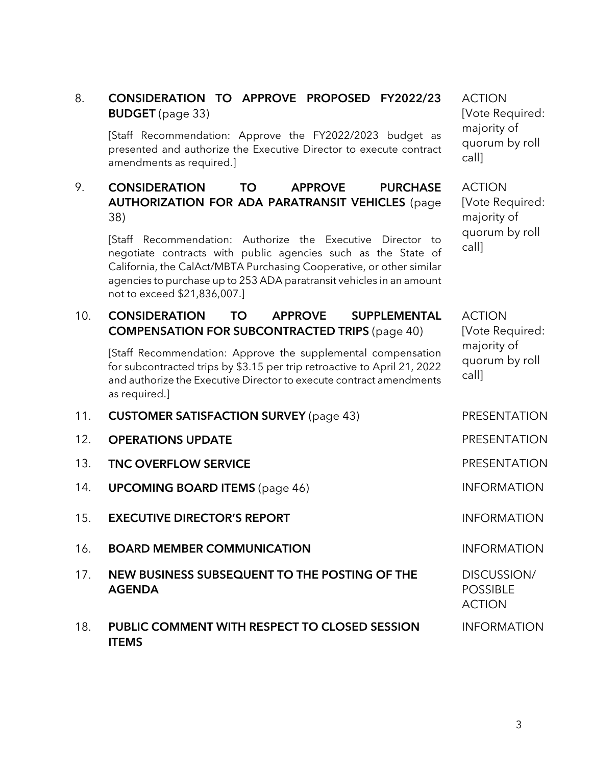# 8. CONSIDERATION TO APPROVE PROPOSED FY2022/23 BUDGET (page 33)

[Staff Recommendation: Approve the FY2022/2023 budget as presented and authorize the Executive Director to execute contract amendments as required.]

## 9. CONSIDERATION TO APPROVE PURCHASE AUTHORIZATION FOR ADA PARATRANSIT VEHICLES (page 38)

[Staff Recommendation: Authorize the Executive Director to negotiate contracts with public agencies such as the State of California, the CalAct/MBTA Purchasing Cooperative, or other similar agencies to purchase up to 253 ADA paratransit vehicles in an amount not to exceed \$21,836,007.]

#### 10. CONSIDERATION TO APPROVE SUPPLEMENTAL COMPENSATION FOR SUBCONTRACTED TRIPS (page 40)

[Staff Recommendation: Approve the supplemental compensation for subcontracted trips by \$3.15 per trip retroactive to April 21, 2022 and authorize the Executive Director to execute contract amendments as required.]

- 11. CUSTOMER SATISFACTION SURVEY (page 43) PRESENTATION
- 12. **OPERATIONS UPDATE Example 20 and 20 and 20 and 20 and 20 and 20 and 20 and 20 and 20 and 20 and 20 and 20 and 20 and 20 and 20 and 20 and 20 and 20 and 20 and 20 and 20 and 20 and 20 and 20 and 20 and 20 and 20 and**
- 13. TNC OVERFLOW SERVICE **EXECUTE:** PRESENTATION
- 14. **UPCOMING BOARD ITEMS** (page 46) **INFORMATION**
- 15. **EXECUTIVE DIRECTOR'S REPORT INFORMATION**
- 16. **BOARD MEMBER COMMUNICATION INFORMATION**
- 17. NEW BUSINESS SUBSEQUENT TO THE POSTING OF THE AGENDA
- 18. PUBLIC COMMENT WITH RESPECT TO CLOSED SESSION **ITEMS**

ACTION [Vote Required: majority of quorum by roll call]

ACTION [Vote Required: majority of quorum by roll call]

ACTION [Vote Required: majority of quorum by roll call]

DISCUSSION/ POSSIBLE ACTION

INFORMATION

3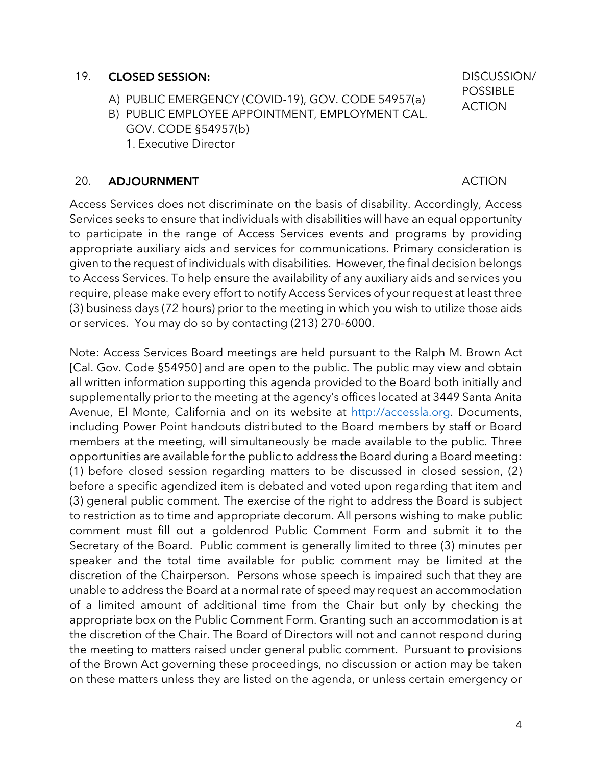#### 19. CLOSED SESSION:

- A) PUBLIC EMERGENCY (COVID-19), GOV. CODE 54957(a)
- B) PUBLIC EMPLOYEE APPOINTMENT, EMPLOYMENT CAL. GOV. CODE §54957(b)
	- 1. Executive Director

#### 20. ADJOURNMENT ACTION

Access Services does not discriminate on the basis of disability. Accordingly, Access Services seeks to ensure that individuals with disabilities will have an equal opportunity to participate in the range of Access Services events and programs by providing appropriate auxiliary aids and services for communications. Primary consideration is given to the request of individuals with disabilities. However, the final decision belongs to Access Services. To help ensure the availability of any auxiliary aids and services you require, please make every effort to notify Access Services of your request at least three (3) business days (72 hours) prior to the meeting in which you wish to utilize those aids or services. You may do so by contacting (213) 270-6000.

Note: Access Services Board meetings are held pursuant to the Ralph M. Brown Act [Cal. Gov. Code §54950] and are open to the public. The public may view and obtain all written information supporting this agenda provided to the Board both initially and supplementally prior to the meeting at the agency's offices located at 3449 Santa Anita Avenue, El Monte, California and on its website at http://accessla.org. Documents, including Power Point handouts distributed to the Board members by staff or Board members at the meeting, will simultaneously be made available to the public. Three opportunities are available for the public to address the Board during a Board meeting: (1) before closed session regarding matters to be discussed in closed session, (2) before a specific agendized item is debated and voted upon regarding that item and (3) general public comment. The exercise of the right to address the Board is subject to restriction as to time and appropriate decorum. All persons wishing to make public comment must fill out a goldenrod Public Comment Form and submit it to the Secretary of the Board. Public comment is generally limited to three (3) minutes per speaker and the total time available for public comment may be limited at the discretion of the Chairperson. Persons whose speech is impaired such that they are unable to address the Board at a normal rate of speed may request an accommodation of a limited amount of additional time from the Chair but only by checking the appropriate box on the Public Comment Form. Granting such an accommodation is at the discretion of the Chair. The Board of Directors will not and cannot respond during the meeting to matters raised under general public comment. Pursuant to provisions of the Brown Act governing these proceedings, no discussion or action may be taken on these matters unless they are listed on the agenda, or unless certain emergency or

DISCUSSION/ POSSIBLE ACTION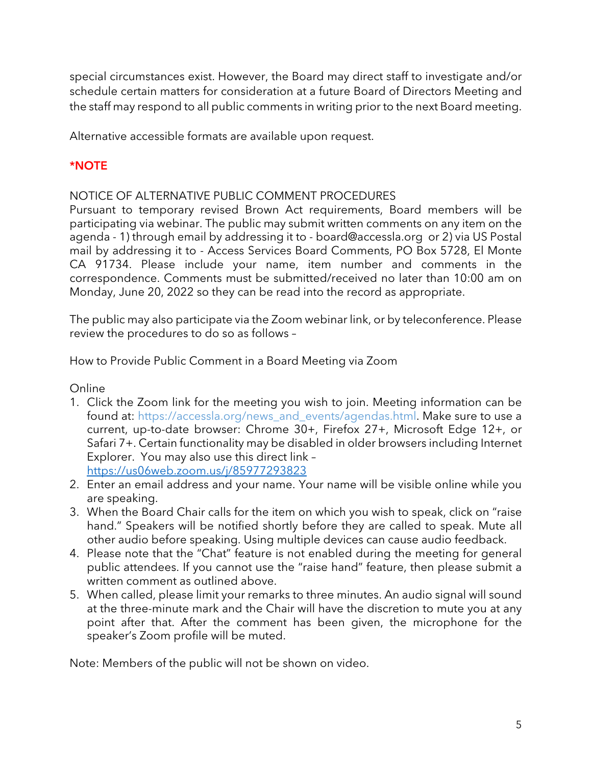special circumstances exist. However, the Board may direct staff to investigate and/or schedule certain matters for consideration at a future Board of Directors Meeting and the staff may respond to all public comments in writing prior to the next Board meeting.

Alternative accessible formats are available upon request.

# \*NOTE

NOTICE OF ALTERNATIVE PUBLIC COMMENT PROCEDURES

Pursuant to temporary revised Brown Act requirements, Board members will be participating via webinar. The public may submit written comments on any item on the agenda - 1) through email by addressing it to - board@accessla.org or 2) via US Postal mail by addressing it to - Access Services Board Comments, PO Box 5728, El Monte CA 91734. Please include your name, item number and comments in the correspondence. Comments must be submitted/received no later than 10:00 am on Monday, June 20, 2022 so they can be read into the record as appropriate.

The public may also participate via the Zoom webinar link, or by teleconference. Please review the procedures to do so as follows –

How to Provide Public Comment in a Board Meeting via Zoom

Online

- 1. Click the Zoom link for the meeting you wish to join. Meeting information can be found at: https://accessla.org/news\_and\_events/agendas.html. Make sure to use a current, up-to-date browser: Chrome 30+, Firefox 27+, Microsoft Edge 12+, or Safari 7+. Certain functionality may be disabled in older browsers including Internet Explorer. You may also use this direct link – https://us06web.zoom.us/j/85977293823
- 2. Enter an email address and your name. Your name will be visible online while you are speaking.
- 3. When the Board Chair calls for the item on which you wish to speak, click on "raise hand." Speakers will be notified shortly before they are called to speak. Mute all other audio before speaking. Using multiple devices can cause audio feedback.
- 4. Please note that the "Chat" feature is not enabled during the meeting for general public attendees. If you cannot use the "raise hand" feature, then please submit a written comment as outlined above.
- 5. When called, please limit your remarks to three minutes. An audio signal will sound at the three-minute mark and the Chair will have the discretion to mute you at any point after that. After the comment has been given, the microphone for the speaker's Zoom profile will be muted.

Note: Members of the public will not be shown on video.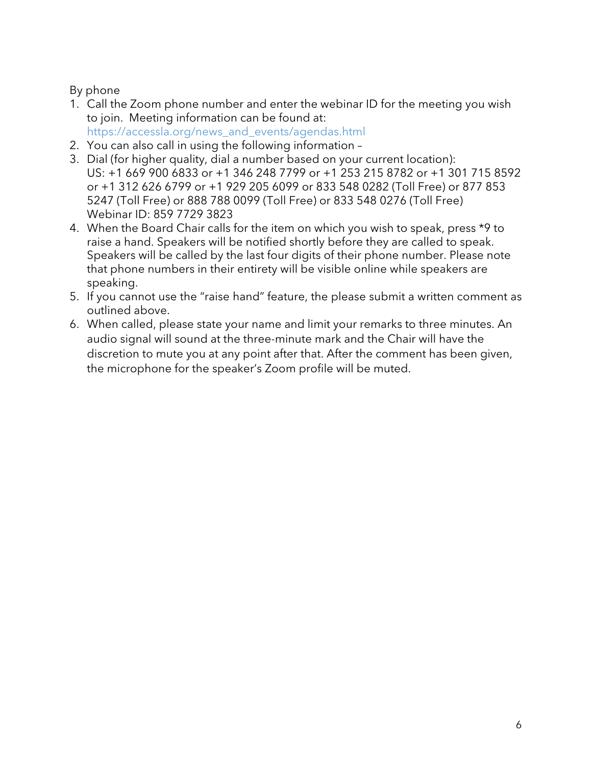## By phone

- 1. Call the Zoom phone number and enter the webinar ID for the meeting you wish to join. Meeting information can be found at: https://accessla.org/news\_and\_events/agendas.html
- 2. You can also call in using the following information –
- 3. Dial (for higher quality, dial a number based on your current location): US: +1 669 900 6833 or +1 346 248 7799 or +1 253 215 8782 or +1 301 715 8592 or +1 312 626 6799 or +1 929 205 6099 or 833 548 0282 (Toll Free) or 877 853 5247 (Toll Free) or 888 788 0099 (Toll Free) or 833 548 0276 (Toll Free) Webinar ID: 859 7729 3823
- 4. When the Board Chair calls for the item on which you wish to speak, press \*9 to raise a hand. Speakers will be notified shortly before they are called to speak. Speakers will be called by the last four digits of their phone number. Please note that phone numbers in their entirety will be visible online while speakers are speaking.
- 5. If you cannot use the "raise hand" feature, the please submit a written comment as outlined above.
- 6. When called, please state your name and limit your remarks to three minutes. An audio signal will sound at the three-minute mark and the Chair will have the discretion to mute you at any point after that. After the comment has been given, the microphone for the speaker's Zoom profile will be muted.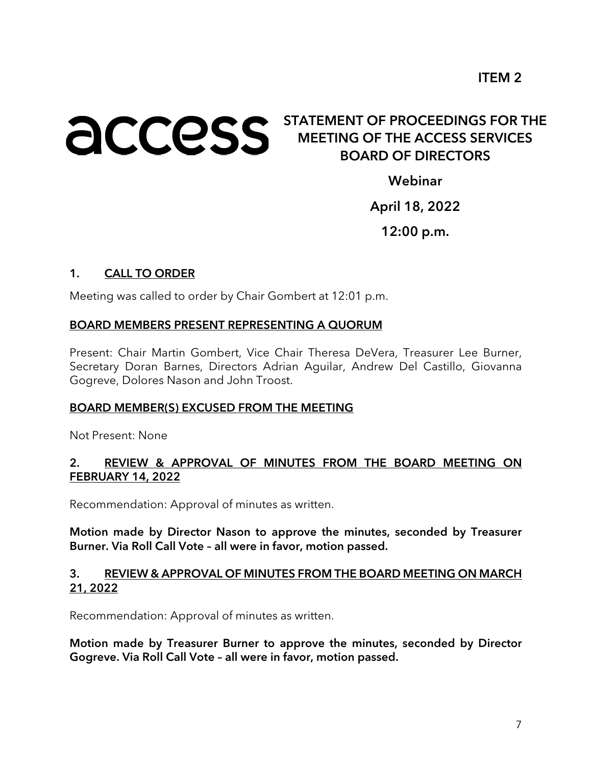# **ACCESS** STATEMENT OF PROCEEDINGS FOR THE MEETING OF THE ACCESS SERVICES BOARD OF DIRECTORS

Webinar

April 18, 2022

12:00 p.m.

## 1. CALL TO ORDER

Meeting was called to order by Chair Gombert at 12:01 p.m.

#### BOARD MEMBERS PRESENT REPRESENTING A QUORUM

Present: Chair Martin Gombert, Vice Chair Theresa DeVera, Treasurer Lee Burner, Secretary Doran Barnes, Directors Adrian Aguilar, Andrew Del Castillo, Giovanna Gogreve, Dolores Nason and John Troost.

#### BOARD MEMBER(S) EXCUSED FROM THE MEETING

Not Present: None

#### 2. REVIEW & APPROVAL OF MINUTES FROM THE BOARD MEETING ON FEBRUARY 14, 2022

Recommendation: Approval of minutes as written.

Motion made by Director Nason to approve the minutes, seconded by Treasurer Burner. Via Roll Call Vote – all were in favor, motion passed.

#### 3. REVIEW & APPROVAL OF MINUTES FROM THE BOARD MEETING ON MARCH 21, 2022

Recommendation: Approval of minutes as written.

Motion made by Treasurer Burner to approve the minutes, seconded by Director Gogreve. Via Roll Call Vote – all were in favor, motion passed.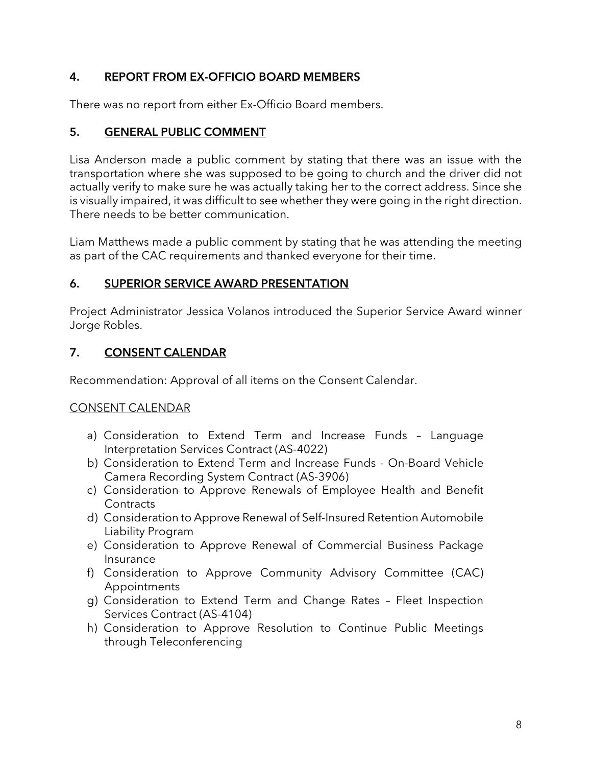# 4. REPORT FROM EX-OFFICIO BOARD MEMBERS

There was no report from either Ex-Officio Board members.

# 5. GENERAL PUBLIC COMMENT

Lisa Anderson made a public comment by stating that there was an issue with the transportation where she was supposed to be going to church and the driver did not actually verify to make sure he was actually taking her to the correct address. Since she is visually impaired, it was difficult to see whether they were going in the right direction. There needs to be better communication.

Liam Matthews made a public comment by stating that he was attending the meeting as part of the CAC requirements and thanked everyone for their time.

# 6. SUPERIOR SERVICE AWARD PRESENTATION

Project Administrator Jessica Volanos introduced the Superior Service Award winner Jorge Robles.

# 7. CONSENT CALENDAR

Recommendation: Approval of all items on the Consent Calendar.

# CONSENT CALENDAR

- a) Consideration to Extend Term and Increase Funds Language Interpretation Services Contract (AS-4022)
- b) Consideration to Extend Term and Increase Funds On-Board Vehicle Camera Recording System Contract (AS-3906)
- c) Consideration to Approve Renewals of Employee Health and Benefit **Contracts**
- d) Consideration to Approve Renewal of Self-Insured Retention Automobile Liability Program
- e) Consideration to Approve Renewal of Commercial Business Package Insurance
- f) Consideration to Approve Community Advisory Committee (CAC) Appointments
- g) Consideration to Extend Term and Change Rates Fleet Inspection Services Contract (AS-4104)
- h) Consideration to Approve Resolution to Continue Public Meetings through Teleconferencing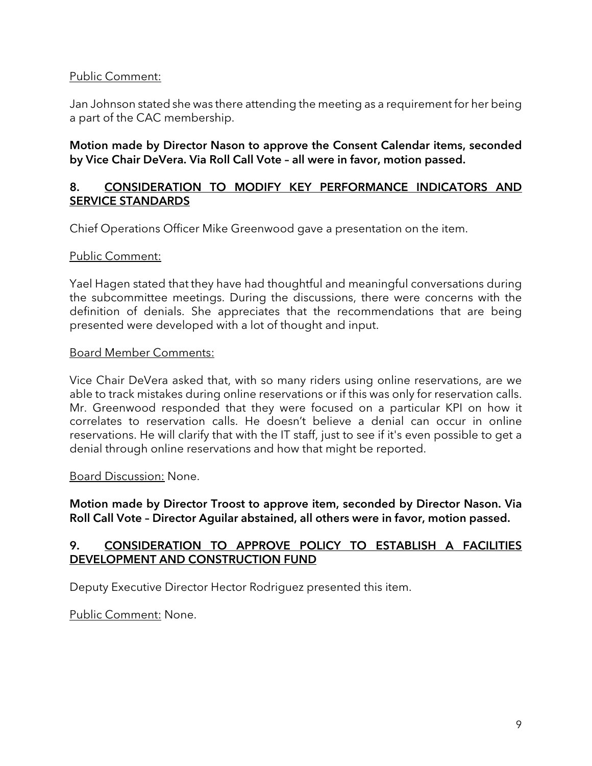#### Public Comment:

Jan Johnson stated she was there attending the meeting as a requirement for her being a part of the CAC membership.

#### Motion made by Director Nason to approve the Consent Calendar items, seconded by Vice Chair DeVera. Via Roll Call Vote – all were in favor, motion passed.

#### 8. CONSIDERATION TO MODIFY KEY PERFORMANCE INDICATORS AND SERVICE STANDARDS

Chief Operations Officer Mike Greenwood gave a presentation on the item.

#### Public Comment:

Yael Hagen stated that they have had thoughtful and meaningful conversations during the subcommittee meetings. During the discussions, there were concerns with the definition of denials. She appreciates that the recommendations that are being presented were developed with a lot of thought and input.

#### Board Member Comments:

Vice Chair DeVera asked that, with so many riders using online reservations, are we able to track mistakes during online reservations or if this was only for reservation calls. Mr. Greenwood responded that they were focused on a particular KPI on how it correlates to reservation calls. He doesn't believe a denial can occur in online reservations. He will clarify that with the IT staff, just to see if it's even possible to get a denial through online reservations and how that might be reported.

#### Board Discussion: None.

Motion made by Director Troost to approve item, seconded by Director Nason. Via Roll Call Vote – Director Aguilar abstained, all others were in favor, motion passed.

#### 9. CONSIDERATION TO APPROVE POLICY TO ESTABLISH A FACILITIES DEVELOPMENT AND CONSTRUCTION FUND

Deputy Executive Director Hector Rodriguez presented this item.

Public Comment: None.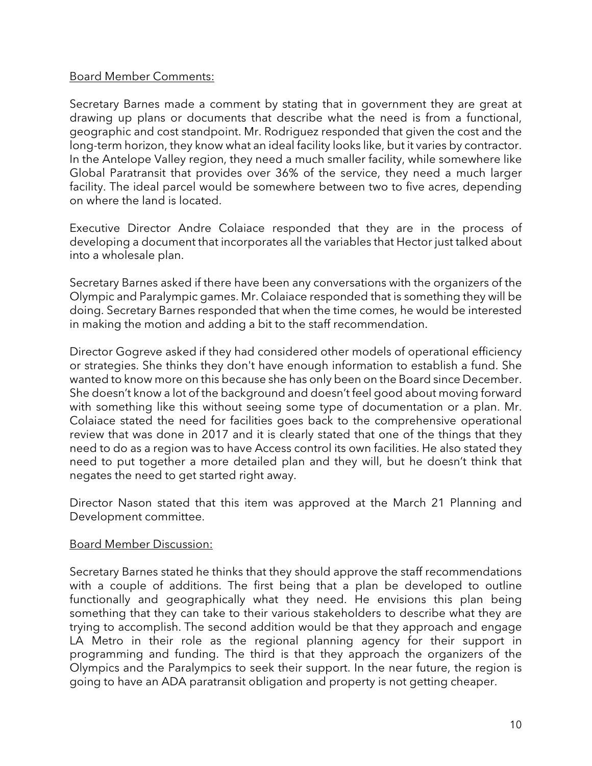#### Board Member Comments:

Secretary Barnes made a comment by stating that in government they are great at drawing up plans or documents that describe what the need is from a functional, geographic and cost standpoint. Mr. Rodriguez responded that given the cost and the long-term horizon, they know what an ideal facility looks like, but it varies by contractor. In the Antelope Valley region, they need a much smaller facility, while somewhere like Global Paratransit that provides over 36% of the service, they need a much larger facility. The ideal parcel would be somewhere between two to five acres, depending on where the land is located.

Executive Director Andre Colaiace responded that they are in the process of developing a document that incorporates all the variables that Hector just talked about into a wholesale plan.

Secretary Barnes asked if there have been any conversations with the organizers of the Olympic and Paralympic games. Mr. Colaiace responded that is something they will be doing. Secretary Barnes responded that when the time comes, he would be interested in making the motion and adding a bit to the staff recommendation.

Director Gogreve asked if they had considered other models of operational efficiency or strategies. She thinks they don't have enough information to establish a fund. She wanted to know more on this because she has only been on the Board since December. She doesn't know a lot of the background and doesn't feel good about moving forward with something like this without seeing some type of documentation or a plan. Mr. Colaiace stated the need for facilities goes back to the comprehensive operational review that was done in 2017 and it is clearly stated that one of the things that they need to do as a region was to have Access control its own facilities. He also stated they need to put together a more detailed plan and they will, but he doesn't think that negates the need to get started right away.

Director Nason stated that this item was approved at the March 21 Planning and Development committee.

#### Board Member Discussion:

Secretary Barnes stated he thinks that they should approve the staff recommendations with a couple of additions. The first being that a plan be developed to outline functionally and geographically what they need. He envisions this plan being something that they can take to their various stakeholders to describe what they are trying to accomplish. The second addition would be that they approach and engage LA Metro in their role as the regional planning agency for their support in programming and funding. The third is that they approach the organizers of the Olympics and the Paralympics to seek their support. In the near future, the region is going to have an ADA paratransit obligation and property is not getting cheaper.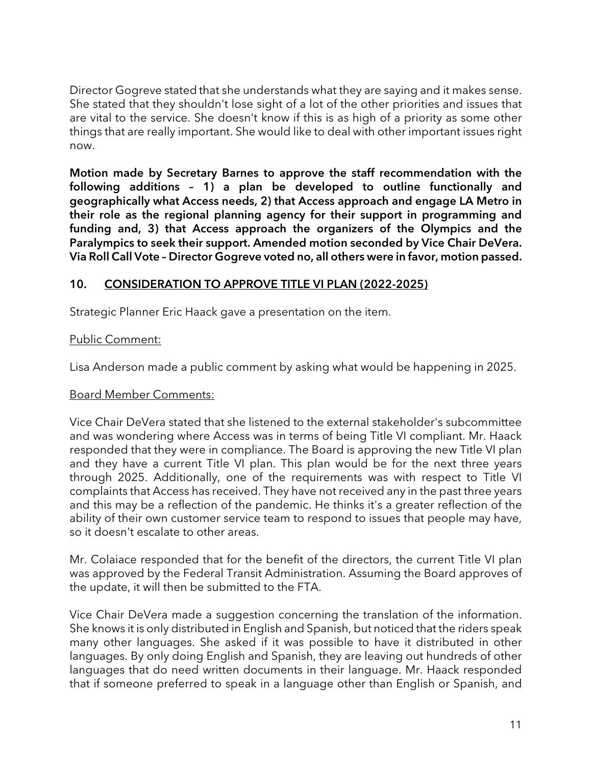Director Gogreve stated that she understands what they are saying and it makes sense. She stated that they shouldn't lose sight of a lot of the other priorities and issues that are vital to the service. She doesn't know if this is as high of a priority as some other things that are really important. She would like to deal with other important issues right now.

Motion made by Secretary Barnes to approve the staff recommendation with the following additions – 1) a plan be developed to outline functionally and geographically what Access needs, 2) that Access approach and engage LA Metro in their role as the regional planning agency for their support in programming and funding and, 3) that Access approach the organizers of the Olympics and the Paralympics to seek their support. Amended motion seconded by Vice Chair DeVera. Via Roll Call Vote – Director Gogreve voted no, all others were in favor, motion passed.

## 10. CONSIDERATION TO APPROVE TITLE VI PLAN (2022-2025)

Strategic Planner Eric Haack gave a presentation on the item.

#### Public Comment:

Lisa Anderson made a public comment by asking what would be happening in 2025.

#### Board Member Comments:

Vice Chair DeVera stated that she listened to the external stakeholder's subcommittee and was wondering where Access was in terms of being Title VI compliant. Mr. Haack responded that they were in compliance. The Board is approving the new Title VI plan and they have a current Title VI plan. This plan would be for the next three years through 2025. Additionally, one of the requirements was with respect to Title VI complaints that Access has received. They have not received any in the past three years and this may be a reflection of the pandemic. He thinks it's a greater reflection of the ability of their own customer service team to respond to issues that people may have, so it doesn't escalate to other areas.

Mr. Colaiace responded that for the benefit of the directors, the current Title VI plan was approved by the Federal Transit Administration. Assuming the Board approves of the update, it will then be submitted to the FTA.

Vice Chair DeVera made a suggestion concerning the translation of the information. She knows it is only distributed in English and Spanish, but noticed that the riders speak many other languages. She asked if it was possible to have it distributed in other languages. By only doing English and Spanish, they are leaving out hundreds of other languages that do need written documents in their language. Mr. Haack responded that if someone preferred to speak in a language other than English or Spanish, and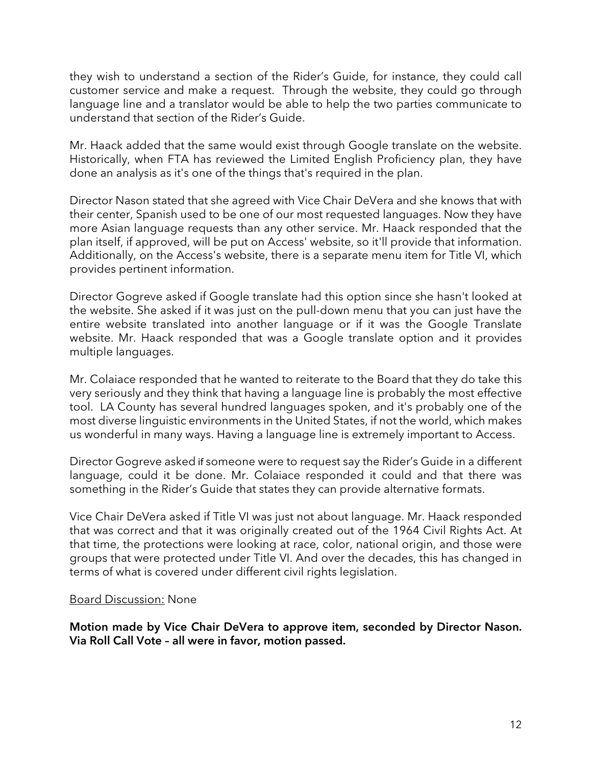they wish to understand a section of the Rider's Guide, for instance, they could call customer service and make a request. Through the website, they could go through language line and a translator would be able to help the two parties communicate to understand that section of the Rider's Guide.

Mr. Haack added that the same would exist through Google translate on the website. Historically, when FTA has reviewed the Limited English Proficiency plan, they have done an analysis as it's one of the things that's required in the plan.

Director Nason stated that she agreed with Vice Chair DeVera and she knows that with their center, Spanish used to be one of our most requested languages. Now they have more Asian language requests than any other service. Mr. Haack responded that the plan itself, if approved, will be put on Access' website, so it'll provide that information. Additionally, on the Access's website, there is a separate menu item for Title VI, which provides pertinent information.

Director Gogreve asked if Google translate had this option since she hasn't looked at the website. She asked if it was just on the pull-down menu that you can just have the entire website translated into another language or if it was the Google Translate website. Mr. Haack responded that was a Google translate option and it provides multiple languages.

Mr. Colaiace responded that he wanted to reiterate to the Board that they do take this very seriously and they think that having a language line is probably the most effective tool. LA County has several hundred languages spoken, and it's probably one of the most diverse linguistic environments in the United States, if not the world, which makes us wonderful in many ways. Having a language line is extremely important to Access.

Director Gogreve asked if someone were to request say the Rider's Guide in a different language, could it be done. Mr. Colaiace responded it could and that there was something in the Rider's Guide that states they can provide alternative formats.

Vice Chair DeVera asked if Title VI was just not about language. Mr. Haack responded that was correct and that it was originally created out of the 1964 Civil Rights Act. At that time, the protections were looking at race, color, national origin, and those were groups that were protected under Title VI. And over the decades, this has changed in terms of what is covered under different civil rights legislation.

#### Board Discussion: None

Motion made by Vice Chair DeVera to approve item, seconded by Director Nason. Via Roll Call Vote – all were in favor, motion passed.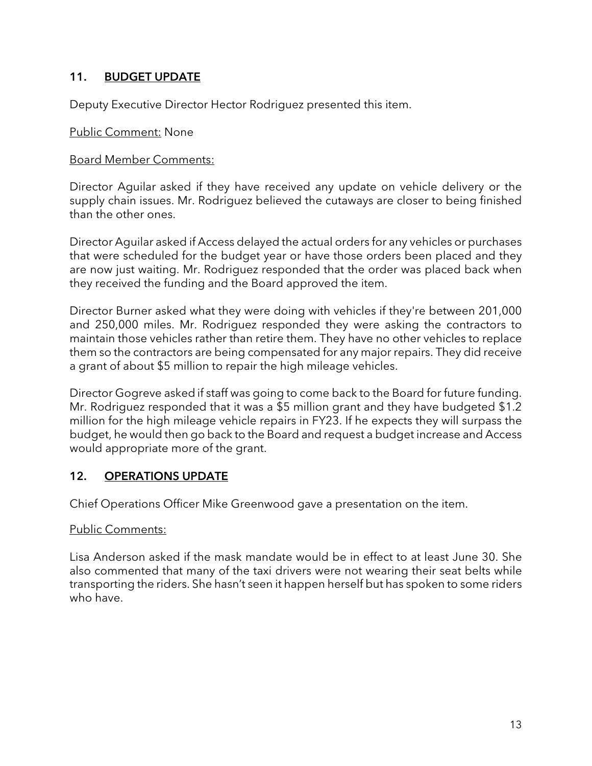# 11. BUDGET UPDATE

Deputy Executive Director Hector Rodriguez presented this item.

#### Public Comment: None

#### Board Member Comments:

Director Aguilar asked if they have received any update on vehicle delivery or the supply chain issues. Mr. Rodriguez believed the cutaways are closer to being finished than the other ones.

Director Aguilar asked if Access delayed the actual orders for any vehicles or purchases that were scheduled for the budget year or have those orders been placed and they are now just waiting. Mr. Rodriguez responded that the order was placed back when they received the funding and the Board approved the item.

Director Burner asked what they were doing with vehicles if they're between 201,000 and 250,000 miles. Mr. Rodriguez responded they were asking the contractors to maintain those vehicles rather than retire them. They have no other vehicles to replace them so the contractors are being compensated for any major repairs. They did receive a grant of about \$5 million to repair the high mileage vehicles.

Director Gogreve asked if staff was going to come back to the Board for future funding. Mr. Rodriguez responded that it was a \$5 million grant and they have budgeted \$1.2 million for the high mileage vehicle repairs in FY23. If he expects they will surpass the budget, he would then go back to the Board and request a budget increase and Access would appropriate more of the grant.

#### 12. OPERATIONS UPDATE

Chief Operations Officer Mike Greenwood gave a presentation on the item.

#### Public Comments:

Lisa Anderson asked if the mask mandate would be in effect to at least June 30. She also commented that many of the taxi drivers were not wearing their seat belts while transporting the riders. She hasn't seen it happen herself but has spoken to some riders who have.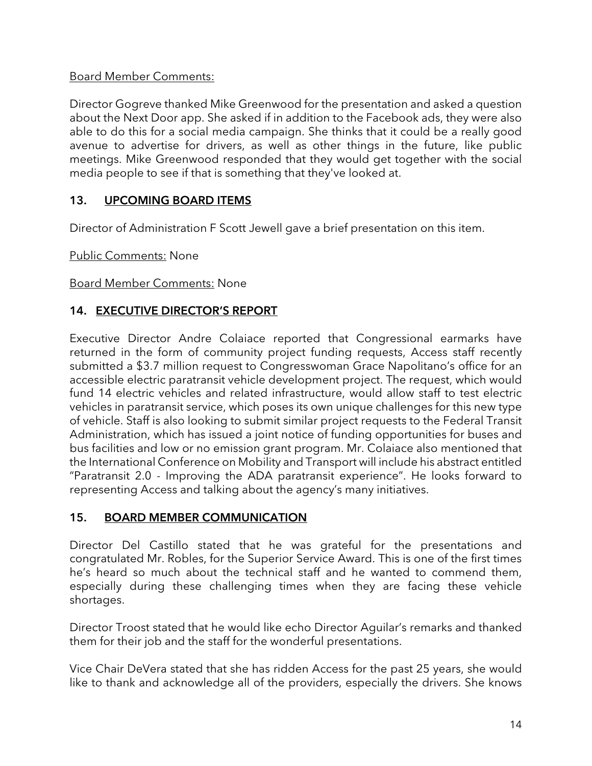## Board Member Comments:

Director Gogreve thanked Mike Greenwood for the presentation and asked a question about the Next Door app. She asked if in addition to the Facebook ads, they were also able to do this for a social media campaign. She thinks that it could be a really good avenue to advertise for drivers, as well as other things in the future, like public meetings. Mike Greenwood responded that they would get together with the social media people to see if that is something that they've looked at.

## 13. UPCOMING BOARD ITEMS

Director of Administration F Scott Jewell gave a brief presentation on this item.

Public Comments: None

Board Member Comments: None

## 14. EXECUTIVE DIRECTOR'S REPORT

Executive Director Andre Colaiace reported that Congressional earmarks have returned in the form of community project funding requests, Access staff recently submitted a \$3.7 million request to Congresswoman Grace Napolitano's office for an accessible electric paratransit vehicle development project. The request, which would fund 14 electric vehicles and related infrastructure, would allow staff to test electric vehicles in paratransit service, which poses its own unique challenges for this new type of vehicle. Staff is also looking to submit similar project requests to the Federal Transit Administration, which has issued a joint notice of funding opportunities for buses and bus facilities and low or no emission grant program. Mr. Colaiace also mentioned that the International Conference on Mobility and Transport will include his abstract entitled "Paratransit 2.0 - Improving the ADA paratransit experience". He looks forward to representing Access and talking about the agency's many initiatives.

#### 15. BOARD MEMBER COMMUNICATION

Director Del Castillo stated that he was grateful for the presentations and congratulated Mr. Robles, for the Superior Service Award. This is one of the first times he's heard so much about the technical staff and he wanted to commend them, especially during these challenging times when they are facing these vehicle shortages.

Director Troost stated that he would like echo Director Aguilar's remarks and thanked them for their job and the staff for the wonderful presentations.

Vice Chair DeVera stated that she has ridden Access for the past 25 years, she would like to thank and acknowledge all of the providers, especially the drivers. She knows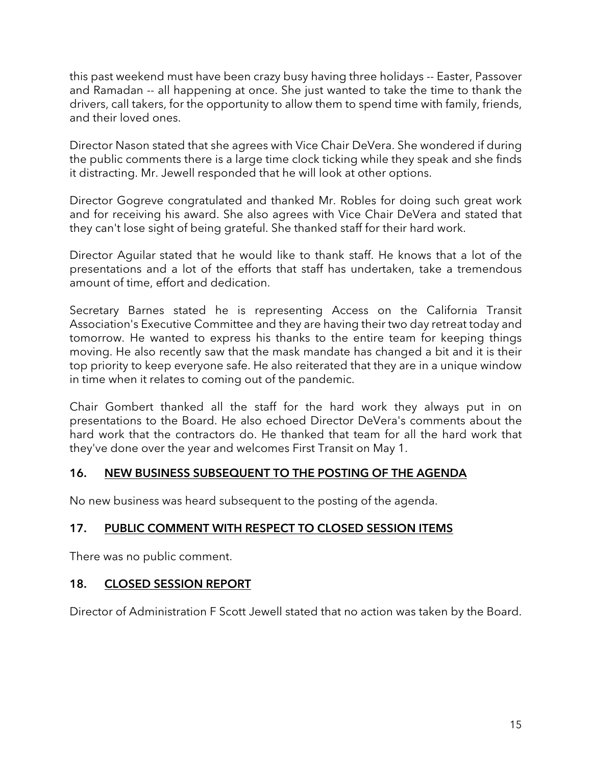this past weekend must have been crazy busy having three holidays -- Easter, Passover and Ramadan -- all happening at once. She just wanted to take the time to thank the drivers, call takers, for the opportunity to allow them to spend time with family, friends, and their loved ones.

Director Nason stated that she agrees with Vice Chair DeVera. She wondered if during the public comments there is a large time clock ticking while they speak and she finds it distracting. Mr. Jewell responded that he will look at other options.

Director Gogreve congratulated and thanked Mr. Robles for doing such great work and for receiving his award. She also agrees with Vice Chair DeVera and stated that they can't lose sight of being grateful. She thanked staff for their hard work.

Director Aguilar stated that he would like to thank staff. He knows that a lot of the presentations and a lot of the efforts that staff has undertaken, take a tremendous amount of time, effort and dedication.

Secretary Barnes stated he is representing Access on the California Transit Association's Executive Committee and they are having their two day retreat today and tomorrow. He wanted to express his thanks to the entire team for keeping things moving. He also recently saw that the mask mandate has changed a bit and it is their top priority to keep everyone safe. He also reiterated that they are in a unique window in time when it relates to coming out of the pandemic.

Chair Gombert thanked all the staff for the hard work they always put in on presentations to the Board. He also echoed Director DeVera's comments about the hard work that the contractors do. He thanked that team for all the hard work that they've done over the year and welcomes First Transit on May 1.

# 16. NEW BUSINESS SUBSEQUENT TO THE POSTING OF THE AGENDA

No new business was heard subsequent to the posting of the agenda.

# 17. PUBLIC COMMENT WITH RESPECT TO CLOSED SESSION ITEMS

There was no public comment.

#### 18. CLOSED SESSION REPORT

Director of Administration F Scott Jewell stated that no action was taken by the Board.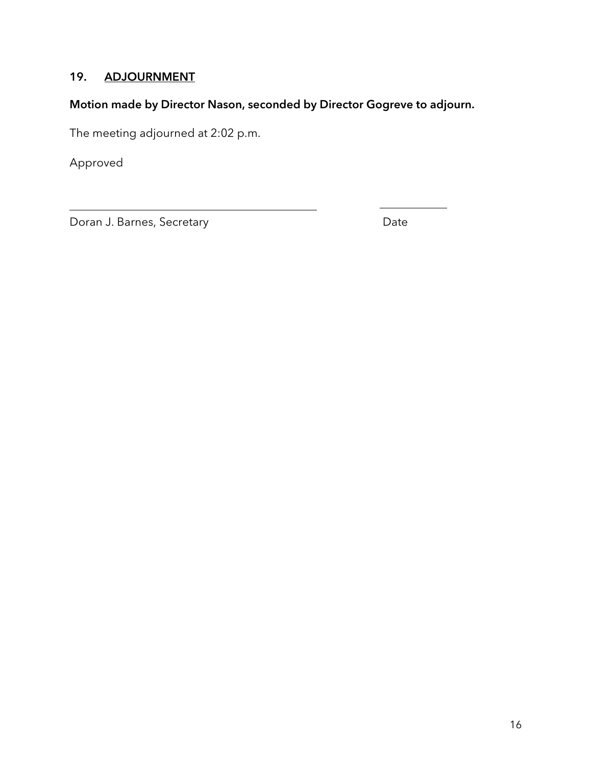# 19. ADJOURNMENT

# Motion made by Director Nason, seconded by Director Gogreve to adjourn.

The meeting adjourned at 2:02 p.m.

Approved

Doran J. Barnes, Secretary **Date** Date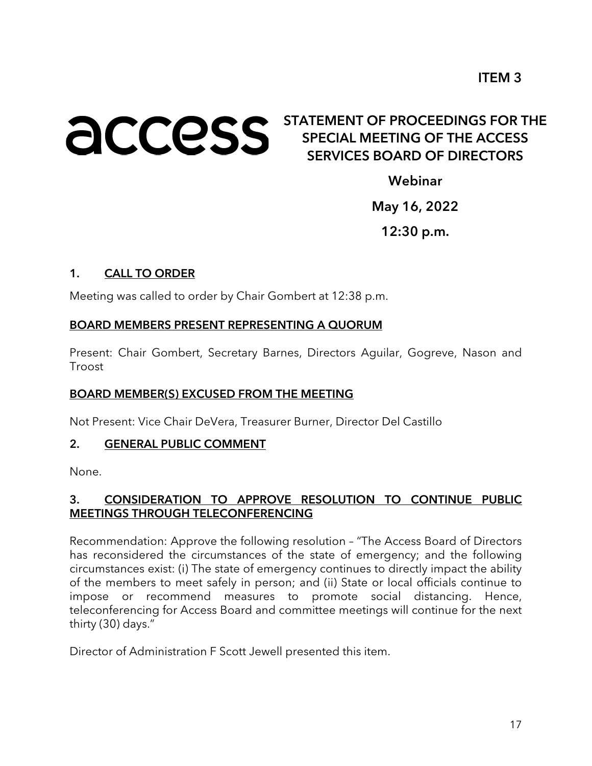# **ACCESS** STATEMENT OF PROCEEDINGS FOR THE SPECIAL MEETING OF THE ACCESS SERVICES BOARD OF DIRECTORS

Webinar

May 16, 2022

12:30 p.m.

#### 1. CALL TO ORDER

Meeting was called to order by Chair Gombert at 12:38 p.m.

#### BOARD MEMBERS PRESENT REPRESENTING A QUORUM

Present: Chair Gombert, Secretary Barnes, Directors Aguilar, Gogreve, Nason and Troost

#### BOARD MEMBER(S) EXCUSED FROM THE MEETING

Not Present: Vice Chair DeVera, Treasurer Burner, Director Del Castillo

#### 2. GENERAL PUBLIC COMMENT

None.

## 3. CONSIDERATION TO APPROVE RESOLUTION TO CONTINUE PUBLIC MEETINGS THROUGH TELECONFERENCING

Recommendation: Approve the following resolution – "The Access Board of Directors has reconsidered the circumstances of the state of emergency; and the following circumstances exist: (i) The state of emergency continues to directly impact the ability of the members to meet safely in person; and (ii) State or local officials continue to impose or recommend measures to promote social distancing. Hence, teleconferencing for Access Board and committee meetings will continue for the next thirty (30) days."

Director of Administration F Scott Jewell presented this item.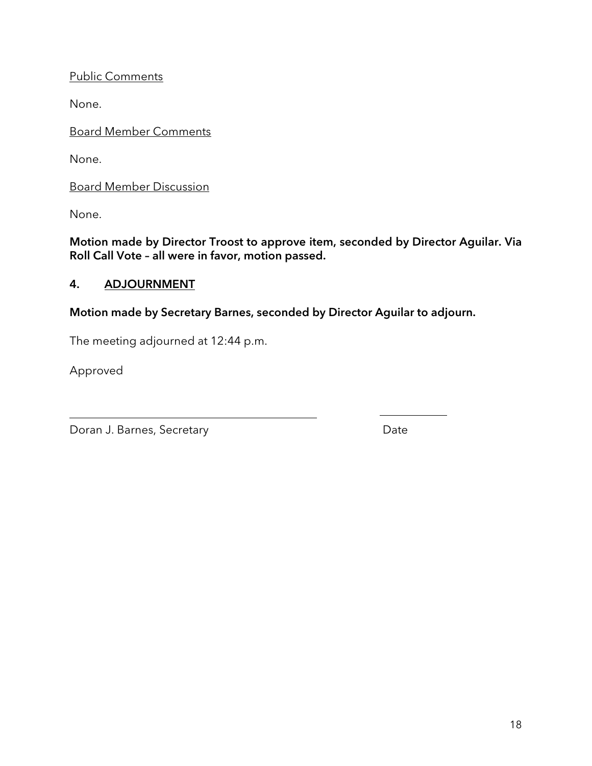Public Comments

None.

Board Member Comments

None.

Board Member Discussion

None.

Motion made by Director Troost to approve item, seconded by Director Aguilar. Via Roll Call Vote – all were in favor, motion passed.

# 4. ADJOURNMENT

Motion made by Secretary Barnes, seconded by Director Aguilar to adjourn.

The meeting adjourned at 12:44 p.m.

Approved

Doran J. Barnes, Secretary **Date**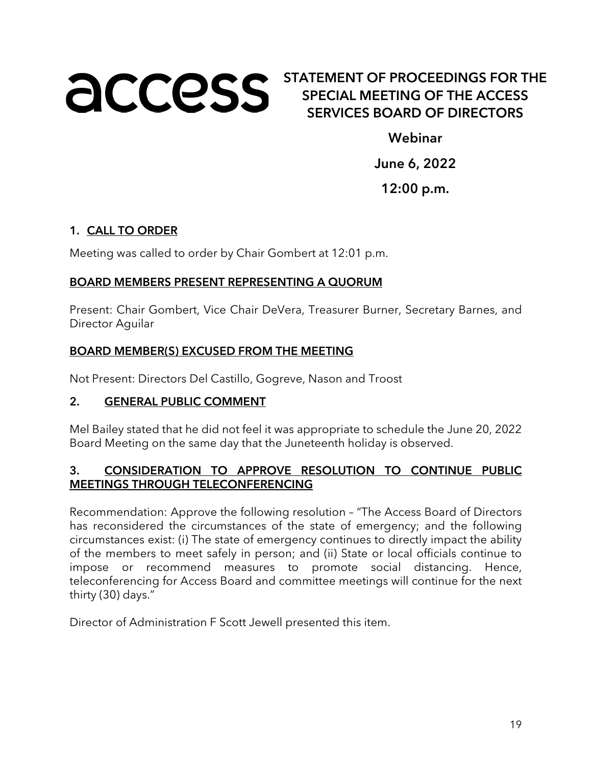# **ACCOSS** STATEMENT OF PROCEEDINGS FOR THE SPECIAL MEETING OF THE ACCESS SERVICES BOARD OF DIRECTORS

Webinar

June 6, 2022

12:00 p.m.

# 1. CALL TO ORDER

Meeting was called to order by Chair Gombert at 12:01 p.m.

#### BOARD MEMBERS PRESENT REPRESENTING A QUORUM

Present: Chair Gombert, Vice Chair DeVera, Treasurer Burner, Secretary Barnes, and Director Aguilar

#### BOARD MEMBER(S) EXCUSED FROM THE MEETING

Not Present: Directors Del Castillo, Gogreve, Nason and Troost

#### 2. GENERAL PUBLIC COMMENT

Mel Bailey stated that he did not feel it was appropriate to schedule the June 20, 2022 Board Meeting on the same day that the Juneteenth holiday is observed.

# 3. CONSIDERATION TO APPROVE RESOLUTION TO CONTINUE PUBLIC MEETINGS THROUGH TELECONFERENCING

Recommendation: Approve the following resolution – "The Access Board of Directors has reconsidered the circumstances of the state of emergency; and the following circumstances exist: (i) The state of emergency continues to directly impact the ability of the members to meet safely in person; and (ii) State or local officials continue to impose or recommend measures to promote social distancing. Hence, teleconferencing for Access Board and committee meetings will continue for the next thirty (30) days."

Director of Administration F Scott Jewell presented this item.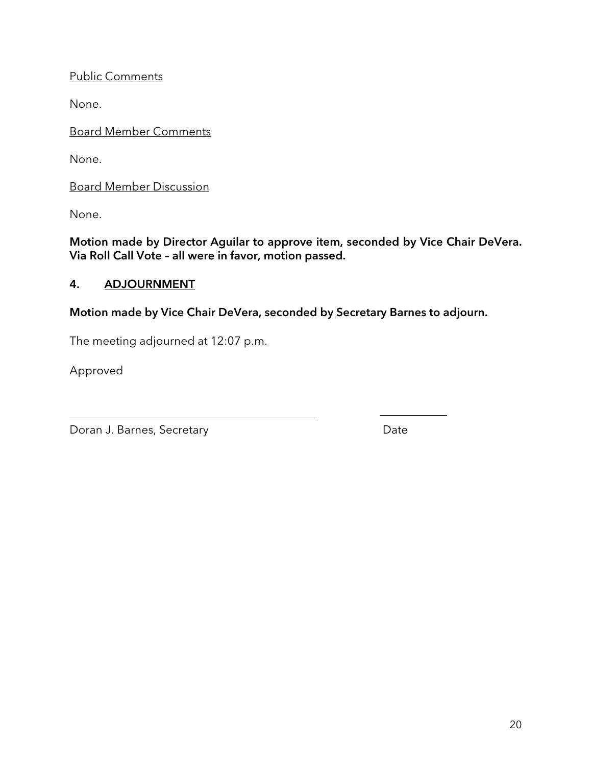Public Comments

None.

Board Member Comments

None.

Board Member Discussion

None.

Motion made by Director Aguilar to approve item, seconded by Vice Chair DeVera. Via Roll Call Vote – all were in favor, motion passed.

# 4. ADJOURNMENT

Motion made by Vice Chair DeVera, seconded by Secretary Barnes to adjourn.

The meeting adjourned at 12:07 p.m.

Approved

Doran J. Barnes, Secretary **Date**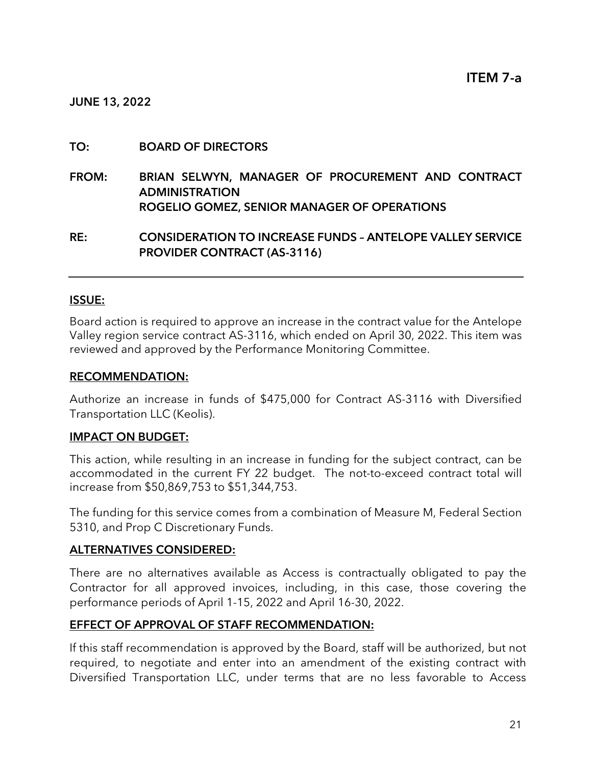#### TO: BOARD OF DIRECTORS

FROM: BRIAN SELWYN, MANAGER OF PROCUREMENT AND CONTRACT ADMINISTRATION ROGELIO GOMEZ, SENIOR MANAGER OF OPERATIONS

RE: CONSIDERATION TO INCREASE FUNDS – ANTELOPE VALLEY SERVICE PROVIDER CONTRACT (AS-3116)

#### ISSUE:

Board action is required to approve an increase in the contract value for the Antelope Valley region service contract AS-3116, which ended on April 30, 2022. This item was reviewed and approved by the Performance Monitoring Committee.

#### RECOMMENDATION:

Authorize an increase in funds of \$475,000 for Contract AS-3116 with Diversified Transportation LLC (Keolis).

#### IMPACT ON BUDGET:

This action, while resulting in an increase in funding for the subject contract, can be accommodated in the current FY 22 budget. The not-to-exceed contract total will increase from \$50,869,753 to \$51,344,753.

The funding for this service comes from a combination of Measure M, Federal Section 5310, and Prop C Discretionary Funds.

#### ALTERNATIVES CONSIDERED:

There are no alternatives available as Access is contractually obligated to pay the Contractor for all approved invoices, including, in this case, those covering the performance periods of April 1-15, 2022 and April 16-30, 2022.

#### EFFECT OF APPROVAL OF STAFF RECOMMENDATION:

If this staff recommendation is approved by the Board, staff will be authorized, but not required, to negotiate and enter into an amendment of the existing contract with Diversified Transportation LLC, under terms that are no less favorable to Access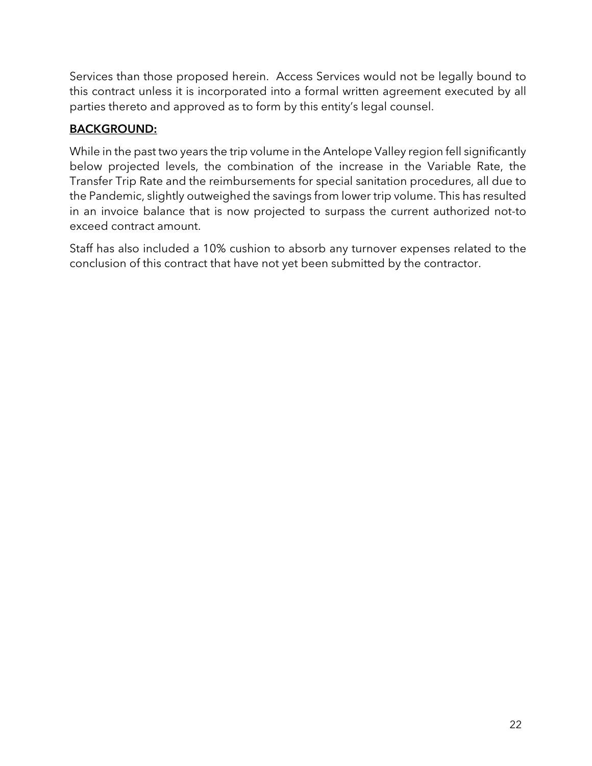Services than those proposed herein. Access Services would not be legally bound to this contract unless it is incorporated into a formal written agreement executed by all parties thereto and approved as to form by this entity's legal counsel.

# BACKGROUND:

While in the past two years the trip volume in the Antelope Valley region fell significantly below projected levels, the combination of the increase in the Variable Rate, the Transfer Trip Rate and the reimbursements for special sanitation procedures, all due to the Pandemic, slightly outweighed the savings from lower trip volume. This has resulted in an invoice balance that is now projected to surpass the current authorized not-to exceed contract amount.

Staff has also included a 10% cushion to absorb any turnover expenses related to the conclusion of this contract that have not yet been submitted by the contractor.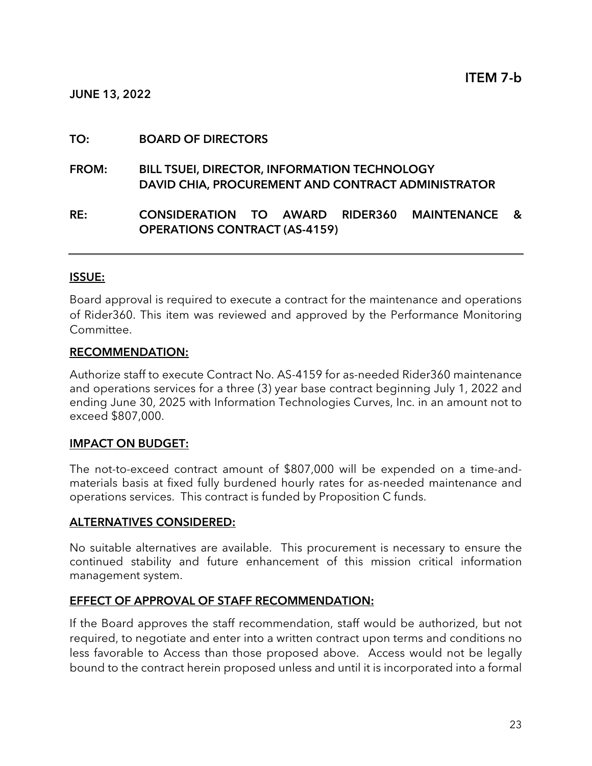JUNE 13, 2022

#### TO: BOARD OF DIRECTORS

FROM: BILL TSUEI, DIRECTOR, INFORMATION TECHNOLOGY DAVID CHIA, PROCUREMENT AND CONTRACT ADMINISTRATOR

## RE: CONSIDERATION TO AWARD RIDER360 MAINTENANCE & OPERATIONS CONTRACT (AS-4159)

#### ISSUE:

Board approval is required to execute a contract for the maintenance and operations of Rider360. This item was reviewed and approved by the Performance Monitoring Committee.

#### RECOMMENDATION:

Authorize staff to execute Contract No. AS-4159 for as-needed Rider360 maintenance and operations services for a three (3) year base contract beginning July 1, 2022 and ending June 30, 2025 with Information Technologies Curves, Inc. in an amount not to exceed \$807,000.

#### IMPACT ON BUDGET:

The not-to-exceed contract amount of \$807,000 will be expended on a time-andmaterials basis at fixed fully burdened hourly rates for as-needed maintenance and operations services. This contract is funded by Proposition C funds.

#### ALTERNATIVES CONSIDERED:

No suitable alternatives are available. This procurement is necessary to ensure the continued stability and future enhancement of this mission critical information management system.

#### EFFECT OF APPROVAL OF STAFF RECOMMENDATION:

If the Board approves the staff recommendation, staff would be authorized, but not required, to negotiate and enter into a written contract upon terms and conditions no less favorable to Access than those proposed above. Access would not be legally bound to the contract herein proposed unless and until it is incorporated into a formal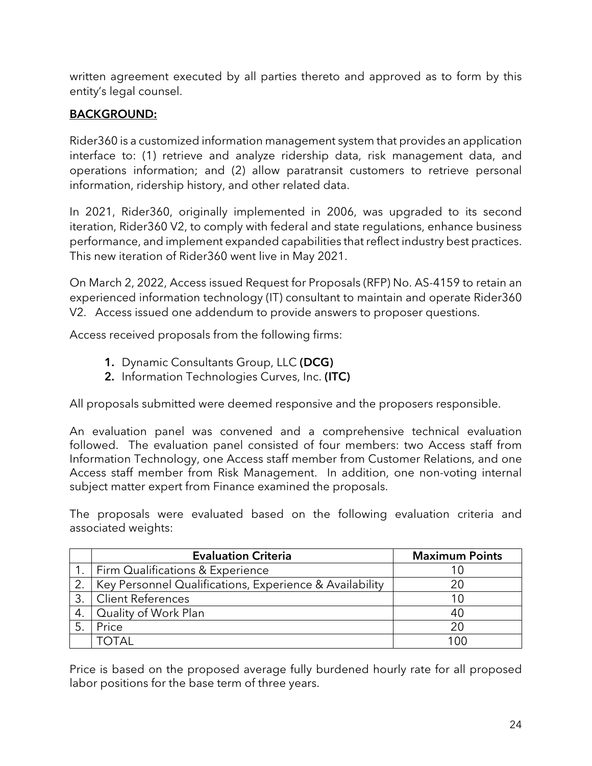written agreement executed by all parties thereto and approved as to form by this entity's legal counsel.

# BACKGROUND:

Rider360 is a customized information management system that provides an application interface to: (1) retrieve and analyze ridership data, risk management data, and operations information; and (2) allow paratransit customers to retrieve personal information, ridership history, and other related data.

In 2021, Rider360, originally implemented in 2006, was upgraded to its second iteration, Rider360 V2, to comply with federal and state regulations, enhance business performance, and implement expanded capabilities that reflect industry best practices. This new iteration of Rider360 went live in May 2021.

On March 2, 2022, Access issued Request for Proposals (RFP) No. AS-4159 to retain an experienced information technology (IT) consultant to maintain and operate Rider360 V2. Access issued one addendum to provide answers to proposer questions.

Access received proposals from the following firms:

- 1. Dynamic Consultants Group, LLC (DCG)
- 2. Information Technologies Curves, Inc. (ITC)

All proposals submitted were deemed responsive and the proposers responsible.

An evaluation panel was convened and a comprehensive technical evaluation followed. The evaluation panel consisted of four members: two Access staff from Information Technology, one Access staff member from Customer Relations, and one Access staff member from Risk Management. In addition, one non-voting internal subject matter expert from Finance examined the proposals.

The proposals were evaluated based on the following evaluation criteria and associated weights:

|    | <b>Evaluation Criteria</b>                              | <b>Maximum Points</b> |
|----|---------------------------------------------------------|-----------------------|
|    | 1.   Firm Qualifications & Experience                   |                       |
| 2. | Key Personnel Qualifications, Experience & Availability |                       |
| 3. | Client References                                       |                       |
| 4. | Quality of Work Plan                                    | 40                    |
|    | Price                                                   | 2Ο                    |
|    |                                                         | l OC                  |

Price is based on the proposed average fully burdened hourly rate for all proposed labor positions for the base term of three years.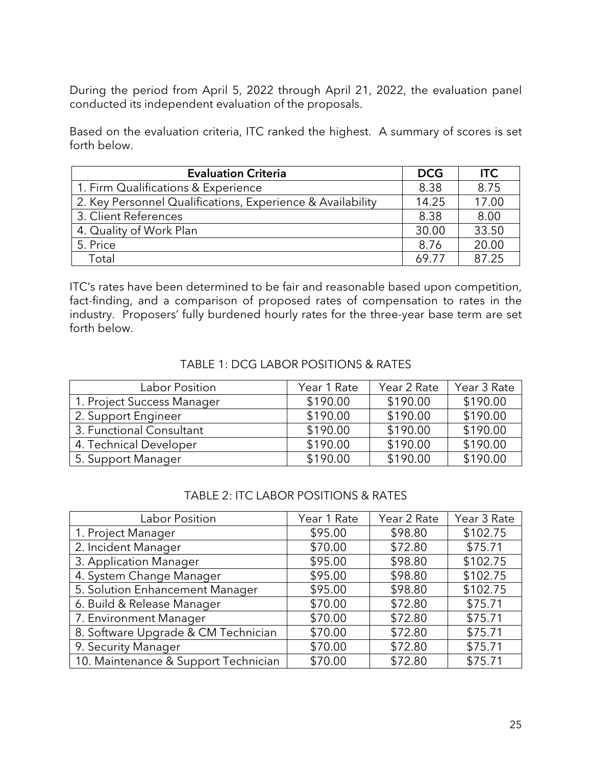During the period from April 5, 2022 through April 21, 2022, the evaluation panel conducted its independent evaluation of the proposals.

Based on the evaluation criteria, ITC ranked the highest. A summary of scores is set forth below.

| <b>Evaluation Criteria</b>                                 | <b>DCG</b> | <b>ITC</b> |
|------------------------------------------------------------|------------|------------|
| 1. Firm Qualifications & Experience                        | 8.38       | 8.75       |
| 2. Key Personnel Qualifications, Experience & Availability | 14.25      | 17.00      |
| 3. Client References                                       | 8.38       | 8.00       |
| 4. Quality of Work Plan                                    | 30.00      | 33.50      |
| 5. Price                                                   | 8.76       | 20.00      |
| Total                                                      | 69 77      | 87.25      |

ITC's rates have been determined to be fair and reasonable based upon competition, fact-finding, and a comparison of proposed rates of compensation to rates in the industry. Proposers' fully burdened hourly rates for the three-year base term are set forth below.

| Labor Position             | Year 1 Rate | Year 2 Rate | Year 3 Rate |
|----------------------------|-------------|-------------|-------------|
| 1. Project Success Manager | \$190.00    | \$190.00    | \$190.00    |
| 2. Support Engineer        | \$190.00    | \$190.00    | \$190.00    |
| 3. Functional Consultant   | \$190.00    | \$190.00    | \$190.00    |
| 4. Technical Developer     | \$190.00    | \$190.00    | \$190.00    |
| 5. Support Manager         | \$190.00    | \$190.00    | \$190.00    |

#### TABLE 1: DCG LABOR POSITIONS & RATES

#### TABLE 2: ITC LABOR POSITIONS & RATES

| Labor Position                       | Year 1 Rate | Year 2 Rate | Year 3 Rate |
|--------------------------------------|-------------|-------------|-------------|
| 1. Project Manager                   | \$95.00     | \$98.80     | \$102.75    |
| 2. Incident Manager                  | \$70.00     | \$72.80     | \$75.71     |
| 3. Application Manager               | \$95.00     | \$98.80     | \$102.75    |
| 4. System Change Manager             | \$95.00     | \$98.80     | \$102.75    |
| 5. Solution Enhancement Manager      | \$95.00     | \$98.80     | \$102.75    |
| 6. Build & Release Manager           | \$70.00     | \$72.80     | \$75.71     |
| 7. Environment Manager               | \$70.00     | \$72.80     | \$75.71     |
| 8. Software Upgrade & CM Technician  | \$70.00     | \$72.80     | \$75.71     |
| 9. Security Manager                  | \$70.00     | \$72.80     | \$75.71     |
| 10. Maintenance & Support Technician | \$70.00     | \$72.80     | \$75.71     |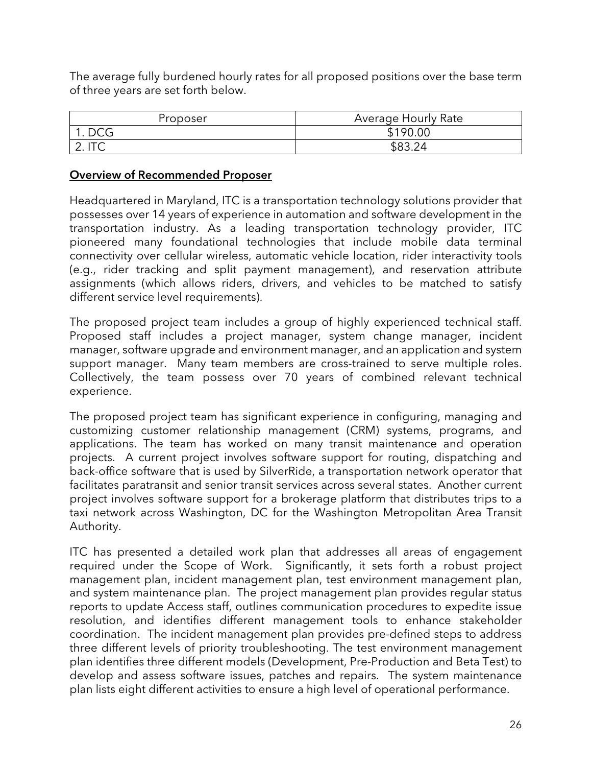The average fully burdened hourly rates for all proposed positions over the base term of three years are set forth below.

| Proposer   | <b>Average Hourly Rate</b> |  |  |
|------------|----------------------------|--|--|
| <b>DCG</b> | \$190.00                   |  |  |
| 2. II V    | ፍጸ3 24                     |  |  |

#### Overview of Recommended Proposer

Headquartered in Maryland, ITC is a transportation technology solutions provider that possesses over 14 years of experience in automation and software development in the transportation industry. As a leading transportation technology provider, ITC pioneered many foundational technologies that include mobile data terminal connectivity over cellular wireless, automatic vehicle location, rider interactivity tools (e.g., rider tracking and split payment management), and reservation attribute assignments (which allows riders, drivers, and vehicles to be matched to satisfy different service level requirements).

The proposed project team includes a group of highly experienced technical staff. Proposed staff includes a project manager, system change manager, incident manager, software upgrade and environment manager, and an application and system support manager. Many team members are cross-trained to serve multiple roles. Collectively, the team possess over 70 years of combined relevant technical experience.

The proposed project team has significant experience in configuring, managing and customizing customer relationship management (CRM) systems, programs, and applications. The team has worked on many transit maintenance and operation projects. A current project involves software support for routing, dispatching and back-office software that is used by SilverRide, a transportation network operator that facilitates paratransit and senior transit services across several states. Another current project involves software support for a brokerage platform that distributes trips to a taxi network across Washington, DC for the Washington Metropolitan Area Transit Authority.

ITC has presented a detailed work plan that addresses all areas of engagement required under the Scope of Work. Significantly, it sets forth a robust project management plan, incident management plan, test environment management plan, and system maintenance plan. The project management plan provides regular status reports to update Access staff, outlines communication procedures to expedite issue resolution, and identifies different management tools to enhance stakeholder coordination. The incident management plan provides pre-defined steps to address three different levels of priority troubleshooting. The test environment management plan identifies three different models (Development, Pre-Production and Beta Test) to develop and assess software issues, patches and repairs. The system maintenance plan lists eight different activities to ensure a high level of operational performance.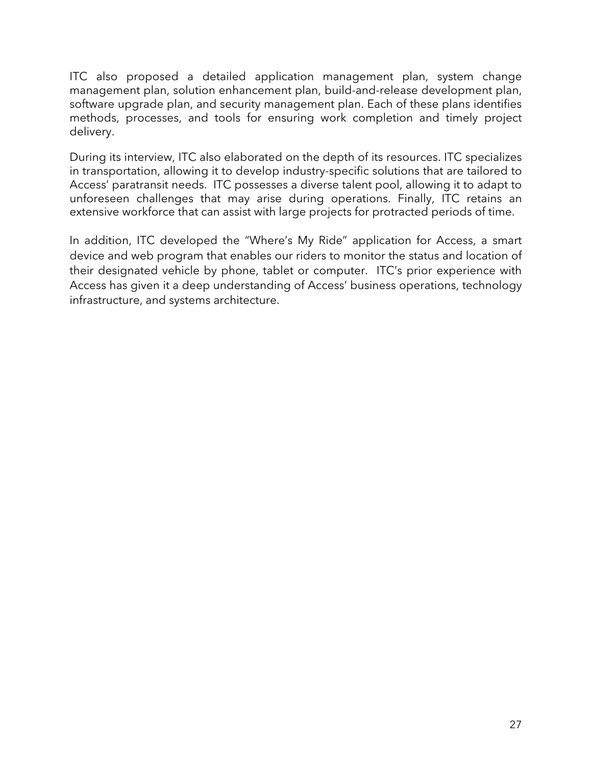ITC also proposed a detailed application management plan, system change management plan, solution enhancement plan, build-and-release development plan, software upgrade plan, and security management plan. Each of these plans identifies methods, processes, and tools for ensuring work completion and timely project delivery.

During its interview, ITC also elaborated on the depth of its resources. ITC specializes in transportation, allowing it to develop industry-specific solutions that are tailored to Access' paratransit needs. ITC possesses a diverse talent pool, allowing it to adapt to unforeseen challenges that may arise during operations. Finally, ITC retains an extensive workforce that can assist with large projects for protracted periods of time.

In addition, ITC developed the "Where's My Ride" application for Access, a smart device and web program that enables our riders to monitor the status and location of their designated vehicle by phone, tablet or computer. ITC's prior experience with Access has given it a deep understanding of Access' business operations, technology infrastructure, and systems architecture.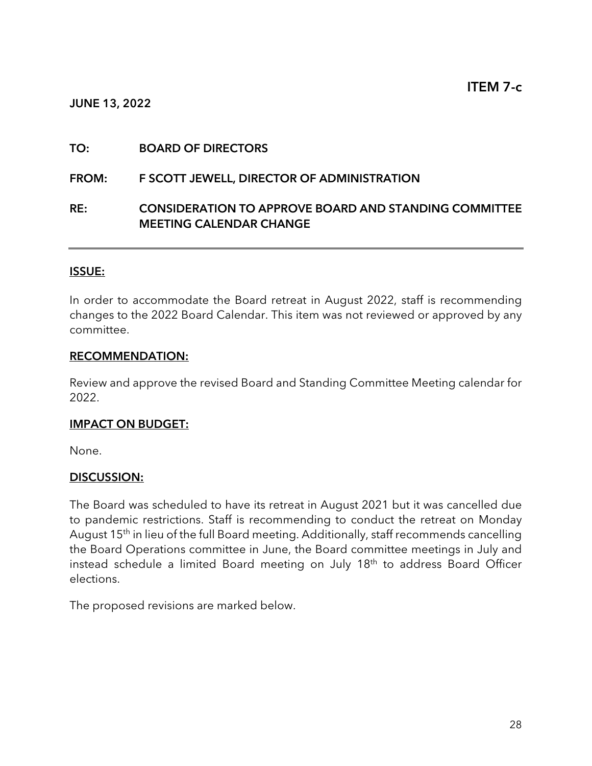#### JUNE 13, 2022

#### TO: BOARD OF DIRECTORS

#### FROM: F SCOTT JEWELL, DIRECTOR OF ADMINISTRATION

#### RE: CONSIDERATION TO APPROVE BOARD AND STANDING COMMITTEE MEETING CALENDAR CHANGE

#### ISSUE:

In order to accommodate the Board retreat in August 2022, staff is recommending changes to the 2022 Board Calendar. This item was not reviewed or approved by any committee.

#### RECOMMENDATION:

Review and approve the revised Board and Standing Committee Meeting calendar for 2022.

#### IMPACT ON BUDGET:

None.

#### DISCUSSION:

The Board was scheduled to have its retreat in August 2021 but it was cancelled due to pandemic restrictions. Staff is recommending to conduct the retreat on Monday August 15<sup>th</sup> in lieu of the full Board meeting. Additionally, staff recommends cancelling the Board Operations committee in June, the Board committee meetings in July and instead schedule a limited Board meeting on July 18<sup>th</sup> to address Board Officer elections.

The proposed revisions are marked below.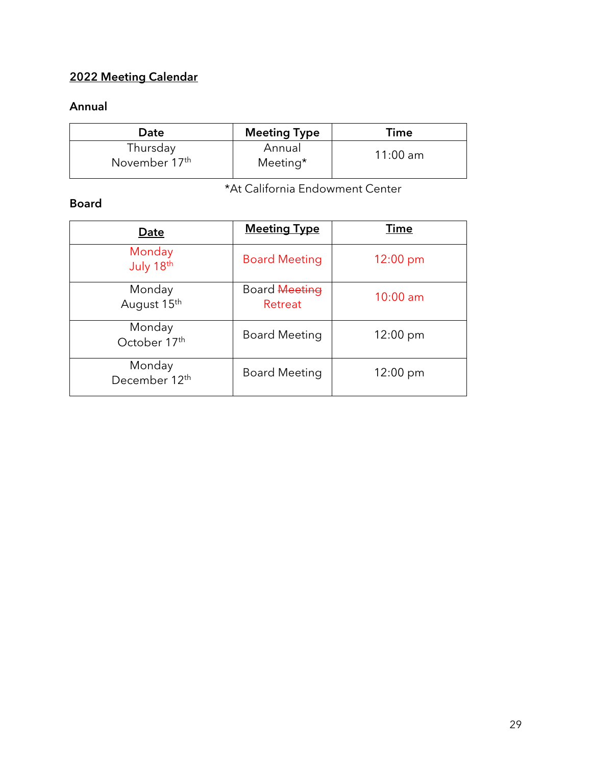# 2022 Meeting Calendar

# Annual

| Date                                  | <b>Meeting Type</b> | Time       |
|---------------------------------------|---------------------|------------|
| Thursday<br>November 17 <sup>th</sup> | Annual<br>Meeting*  | $11:00$ am |

\*At California Endowment Center

# Board

| Date                                | <b>Meeting Type</b>      | <u>Time</u>        |
|-------------------------------------|--------------------------|--------------------|
| Monday<br>July 18th                 | <b>Board Meeting</b>     | 12:00 pm           |
| Monday<br>August 15th               | Board Meeting<br>Retreat | $10:00$ am         |
| Monday<br>October 17th              | <b>Board Meeting</b>     | $12:00 \text{ pm}$ |
| Monday<br>December 12 <sup>th</sup> | <b>Board Meeting</b>     | $12:00 \text{ pm}$ |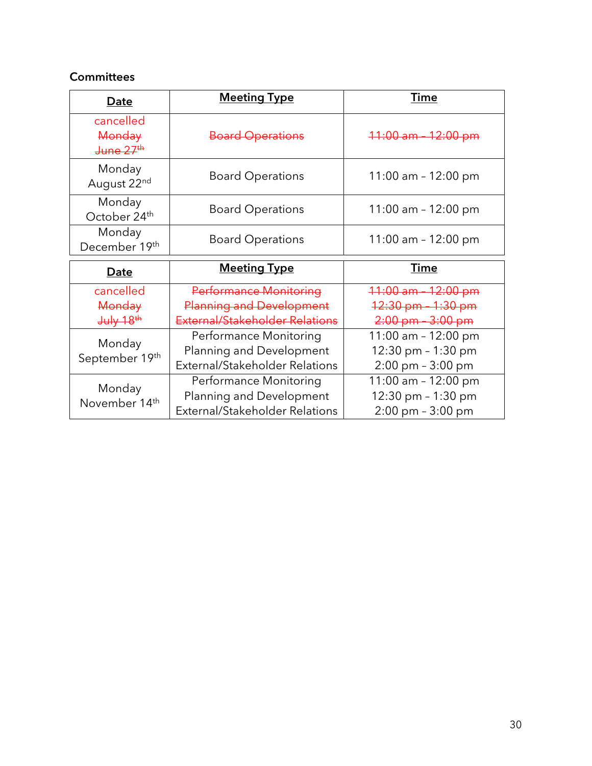# **Committees**

| Date                                                   | <b>Meeting Type</b>     | Time                   |
|--------------------------------------------------------|-------------------------|------------------------|
| cancelled<br>Monday<br><del>June 27<sup>th</sup></del> | <b>Board Operations</b> | $11:00$ am $-12:00$ pm |
| Monday<br>August 22nd                                  | <b>Board Operations</b> | 11:00 am - 12:00 pm    |
| Monday<br>October 24th                                 | <b>Board Operations</b> | 11:00 am $-$ 12:00 pm  |
| Monday<br>December 19th                                | <b>Board Operations</b> | 11:00 am $-$ 12:00 pm  |

| Date                              | <b>Meeting Type</b>             | Time                                      |  |
|-----------------------------------|---------------------------------|-------------------------------------------|--|
| cancelled                         | Performance Monitoring          | $11:00$ am $-12:00$ pm                    |  |
| Monday                            | <b>Planning and Development</b> | $12:30 \text{ pm}$<br><del>-1:30 pm</del> |  |
| $J^{\text{ulv}}$ 18 <sup>th</sup> | External/Stakeholder Relations  | $2:00 \text{ pm} - 3:00 \text{ pm}$       |  |
|                                   | Performance Monitoring          | 11:00 am - 12:00 pm                       |  |
| Monday<br>September 19th          | Planning and Development        | 12:30 pm - 1:30 pm                        |  |
|                                   | External/Stakeholder Relations  | 2:00 pm - 3:00 pm                         |  |
|                                   | Performance Monitoring          | 11:00 am - 12:00 pm                       |  |
| Monday<br>November 14th           | Planning and Development        | 12:30 pm - 1:30 pm                        |  |
|                                   | External/Stakeholder Relations  | $2:00 \text{ pm} - 3:00 \text{ pm}$       |  |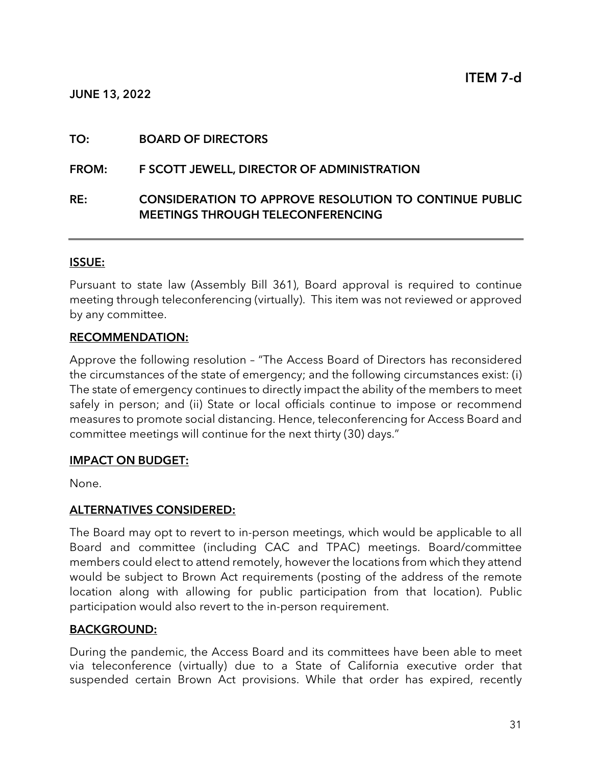#### JUNE 13, 2022

#### TO: BOARD OF DIRECTORS

#### FROM: F SCOTT JEWELL, DIRECTOR OF ADMINISTRATION

## RE: CONSIDERATION TO APPROVE RESOLUTION TO CONTINUE PUBLIC MEETINGS THROUGH TELECONFERENCING

#### ISSUE:

Pursuant to state law (Assembly Bill 361), Board approval is required to continue meeting through teleconferencing (virtually). This item was not reviewed or approved by any committee.

#### RECOMMENDATION:

Approve the following resolution – "The Access Board of Directors has reconsidered the circumstances of the state of emergency; and the following circumstances exist: (i) The state of emergency continues to directly impact the ability of the members to meet safely in person; and (ii) State or local officials continue to impose or recommend measures to promote social distancing. Hence, teleconferencing for Access Board and committee meetings will continue for the next thirty (30) days."

#### IMPACT ON BUDGET:

None.

#### ALTERNATIVES CONSIDERED:

The Board may opt to revert to in-person meetings, which would be applicable to all Board and committee (including CAC and TPAC) meetings. Board/committee members could elect to attend remotely, however the locations from which they attend would be subject to Brown Act requirements (posting of the address of the remote location along with allowing for public participation from that location). Public participation would also revert to the in-person requirement.

#### BACKGROUND:

During the pandemic, the Access Board and its committees have been able to meet via teleconference (virtually) due to a State of California executive order that suspended certain Brown Act provisions. While that order has expired, recently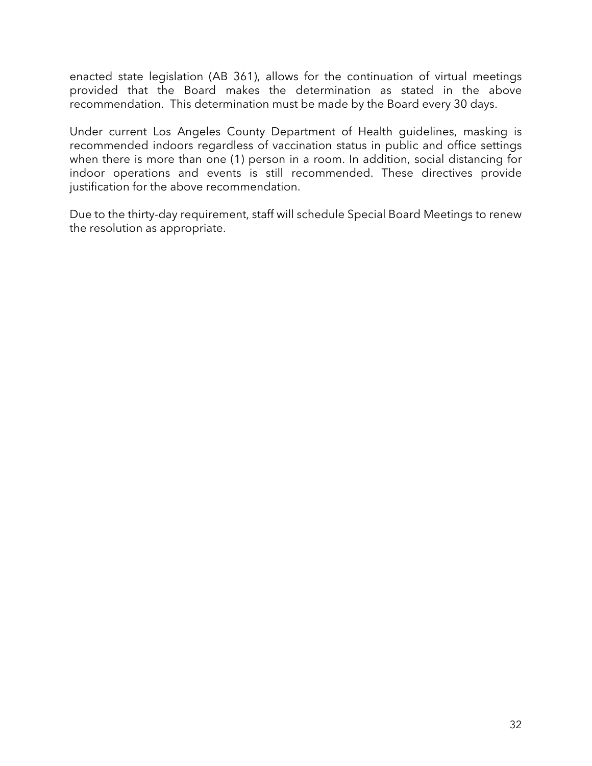enacted state legislation (AB 361), allows for the continuation of virtual meetings provided that the Board makes the determination as stated in the above recommendation. This determination must be made by the Board every 30 days.

Under current Los Angeles County Department of Health guidelines, masking is recommended indoors regardless of vaccination status in public and office settings when there is more than one (1) person in a room. In addition, social distancing for indoor operations and events is still recommended. These directives provide justification for the above recommendation.

Due to the thirty-day requirement, staff will schedule Special Board Meetings to renew the resolution as appropriate.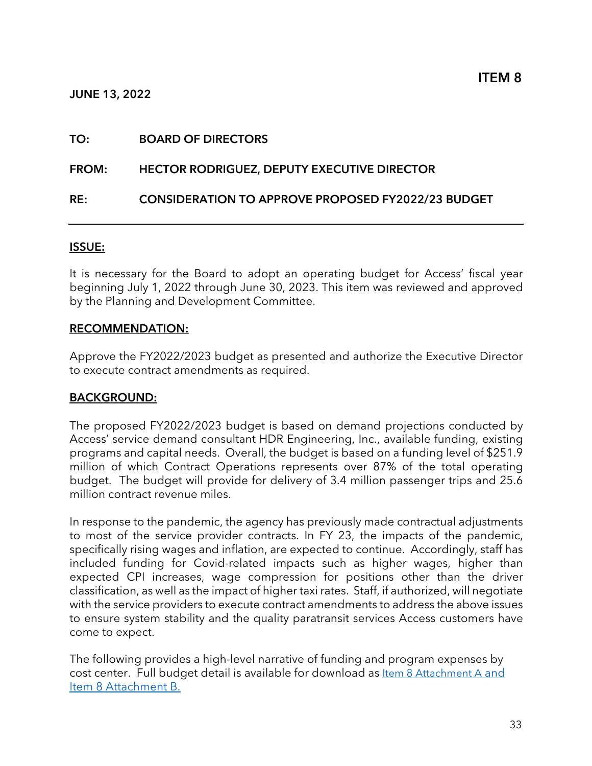#### JUNE 13, 2022

#### TO: BOARD OF DIRECTORS

#### FROM: HECTOR RODRIGUEZ, DEPUTY EXECUTIVE DIRECTOR

#### RE: CONSIDERATION TO APPROVE PROPOSED FY2022/23 BUDGET

#### ISSUE:

It is necessary for the Board to adopt an operating budget for Access' fiscal year beginning July 1, 2022 through June 30, 2023. This item was reviewed and approved by the Planning and Development Committee.

#### RECOMMENDATION:

Approve the FY2022/2023 budget as presented and authorize the Executive Director to execute contract amendments as required.

#### BACKGROUND:

The proposed FY2022/2023 budget is based on demand projections conducted by Access' service demand consultant HDR Engineering, Inc., available funding, existing programs and capital needs. Overall, the budget is based on a funding level of \$251.9 million of which Contract Operations represents over 87% of the total operating budget. The budget will provide for delivery of 3.4 million passenger trips and 25.6 million contract revenue miles.

In response to the pandemic, the agency has previously made contractual adjustments to most of the service provider contracts. In FY 23, the impacts of the pandemic, specifically rising wages and inflation, are expected to continue. Accordingly, staff has included funding for Covid-related impacts such as higher wages, higher than expected CPI increases, wage compression for positions other than the driver classification, as well as the impact of higher taxi rates. Staff, if authorized, will negotiate with the service providers to execute contract amendments to address the above issues to ensure system stability and the quality paratransit services Access customers have come to expect.

The following provides a high-level narrative of funding and program expenses by [cost center. Full budget detail is available for download as Item 8 Attachment A and](https://accessla.org/sites/default/files/Agendas/June%2020%202022%20Board%20Meeting%20Attachments.pdf)  Item 8 Attachment B.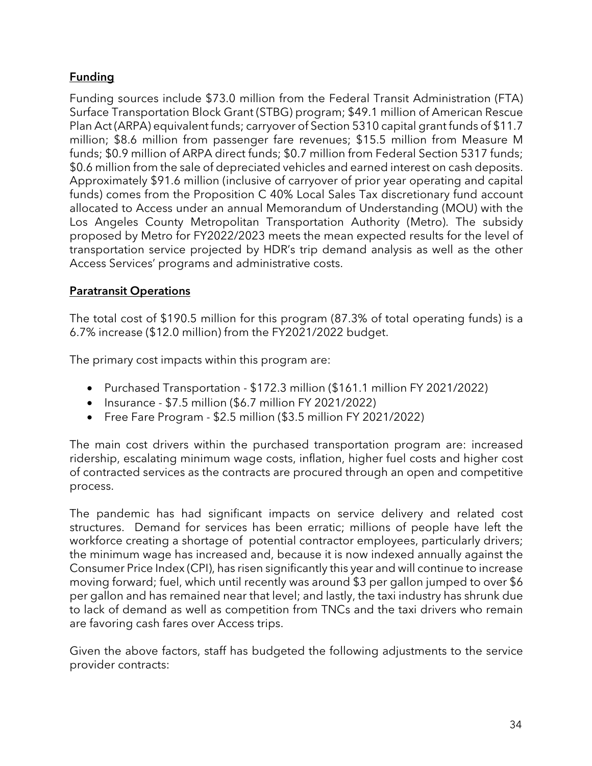# **Funding**

Funding sources include \$73.0 million from the Federal Transit Administration (FTA) Surface Transportation Block Grant (STBG) program; \$49.1 million of American Rescue Plan Act (ARPA) equivalent funds; carryover of Section 5310 capital grant funds of \$11.7 million; \$8.6 million from passenger fare revenues; \$15.5 million from Measure M funds; \$0.9 million of ARPA direct funds; \$0.7 million from Federal Section 5317 funds; \$0.6 million from the sale of depreciated vehicles and earned interest on cash deposits. Approximately \$91.6 million (inclusive of carryover of prior year operating and capital funds) comes from the Proposition C 40% Local Sales Tax discretionary fund account allocated to Access under an annual Memorandum of Understanding (MOU) with the Los Angeles County Metropolitan Transportation Authority (Metro). The subsidy proposed by Metro for FY2022/2023 meets the mean expected results for the level of transportation service projected by HDR's trip demand analysis as well as the other Access Services' programs and administrative costs.

# Paratransit Operations

The total cost of \$190.5 million for this program (87.3% of total operating funds) is a 6.7% increase (\$12.0 million) from the FY2021/2022 budget.

The primary cost impacts within this program are:

- Purchased Transportation \$172.3 million (\$161.1 million FY 2021/2022)
- Insurance  $$7.5$  million (\$6.7 million FY 2021/2022)
- Free Fare Program \$2.5 million (\$3.5 million FY 2021/2022)

The main cost drivers within the purchased transportation program are: increased ridership, escalating minimum wage costs, inflation, higher fuel costs and higher cost of contracted services as the contracts are procured through an open and competitive process.

The pandemic has had significant impacts on service delivery and related cost structures. Demand for services has been erratic; millions of people have left the workforce creating a shortage of potential contractor employees, particularly drivers; the minimum wage has increased and, because it is now indexed annually against the Consumer Price Index (CPI), has risen significantly this year and will continue to increase moving forward; fuel, which until recently was around \$3 per gallon jumped to over \$6 per gallon and has remained near that level; and lastly, the taxi industry has shrunk due to lack of demand as well as competition from TNCs and the taxi drivers who remain are favoring cash fares over Access trips.

Given the above factors, staff has budgeted the following adjustments to the service provider contracts: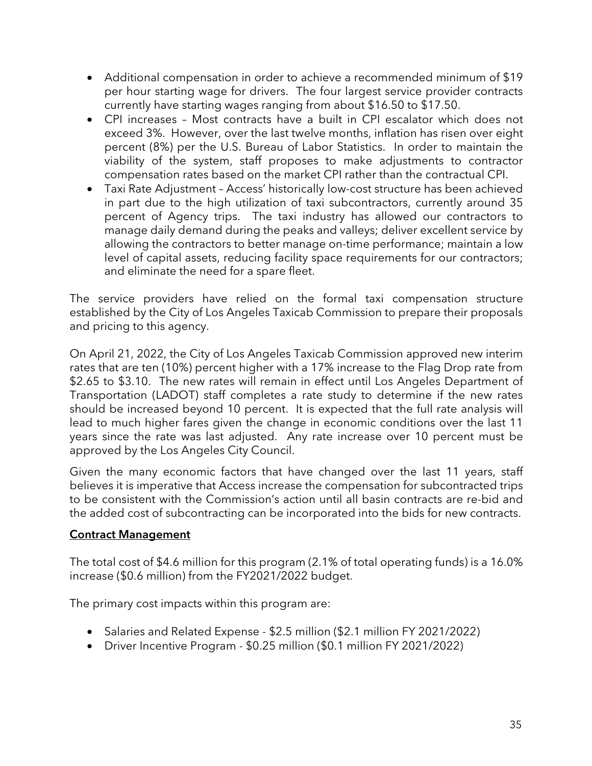- Additional compensation in order to achieve a recommended minimum of \$19 per hour starting wage for drivers. The four largest service provider contracts currently have starting wages ranging from about \$16.50 to \$17.50.
- CPI increases Most contracts have a built in CPI escalator which does not exceed 3%. However, over the last twelve months, inflation has risen over eight percent (8%) per the U.S. Bureau of Labor Statistics. In order to maintain the viability of the system, staff proposes to make adjustments to contractor compensation rates based on the market CPI rather than the contractual CPI.
- Taxi Rate Adjustment Access' historically low-cost structure has been achieved in part due to the high utilization of taxi subcontractors, currently around 35 percent of Agency trips. The taxi industry has allowed our contractors to manage daily demand during the peaks and valleys; deliver excellent service by allowing the contractors to better manage on-time performance; maintain a low level of capital assets, reducing facility space requirements for our contractors; and eliminate the need for a spare fleet.

The service providers have relied on the formal taxi compensation structure established by the City of Los Angeles Taxicab Commission to prepare their proposals and pricing to this agency.

On April 21, 2022, the City of Los Angeles Taxicab Commission approved new interim rates that are ten (10%) percent higher with a 17% increase to the Flag Drop rate from \$2.65 to \$3.10. The new rates will remain in effect until Los Angeles Department of Transportation (LADOT) staff completes a rate study to determine if the new rates should be increased beyond 10 percent. It is expected that the full rate analysis will lead to much higher fares given the change in economic conditions over the last 11 years since the rate was last adjusted. Any rate increase over 10 percent must be approved by the Los Angeles City Council.

Given the many economic factors that have changed over the last 11 years, staff believes it is imperative that Access increase the compensation for subcontracted trips to be consistent with the Commission's action until all basin contracts are re-bid and the added cost of subcontracting can be incorporated into the bids for new contracts.

# Contract Management

The total cost of \$4.6 million for this program (2.1% of total operating funds) is a 16.0% increase (\$0.6 million) from the FY2021/2022 budget.

The primary cost impacts within this program are:

- Salaries and Related Expense \$2.5 million (\$2.1 million FY 2021/2022)
- Driver Incentive Program \$0.25 million (\$0.1 million FY 2021/2022)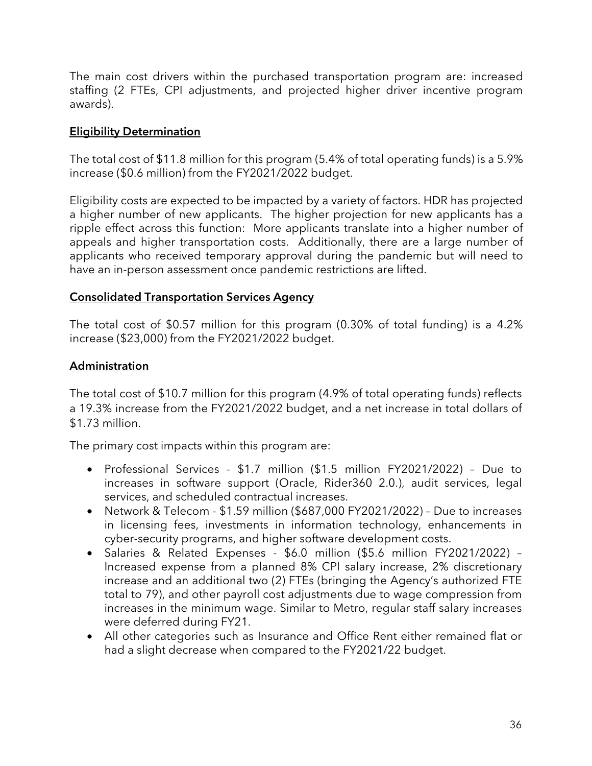The main cost drivers within the purchased transportation program are: increased staffing (2 FTEs, CPI adjustments, and projected higher driver incentive program awards).

## Eligibility Determination

The total cost of \$11.8 million for this program (5.4% of total operating funds) is a 5.9% increase (\$0.6 million) from the FY2021/2022 budget.

Eligibility costs are expected to be impacted by a variety of factors. HDR has projected a higher number of new applicants. The higher projection for new applicants has a ripple effect across this function: More applicants translate into a higher number of appeals and higher transportation costs. Additionally, there are a large number of applicants who received temporary approval during the pandemic but will need to have an in-person assessment once pandemic restrictions are lifted.

## Consolidated Transportation Services Agency

The total cost of \$0.57 million for this program (0.30% of total funding) is a 4.2% increase (\$23,000) from the FY2021/2022 budget.

## Administration

The total cost of \$10.7 million for this program (4.9% of total operating funds) reflects a 19.3% increase from the FY2021/2022 budget, and a net increase in total dollars of \$1.73 million.

The primary cost impacts within this program are:

- Professional Services \$1.7 million (\$1.5 million FY2021/2022) Due to increases in software support (Oracle, Rider360 2.0.), audit services, legal services, and scheduled contractual increases.
- Network & Telecom \$1.59 million (\$687,000 FY2021/2022) Due to increases in licensing fees, investments in information technology, enhancements in cyber-security programs, and higher software development costs.
- Salaries & Related Expenses \$6.0 million (\$5.6 million FY2021/2022) Increased expense from a planned 8% CPI salary increase, 2% discretionary increase and an additional two (2) FTEs (bringing the Agency's authorized FTE total to 79), and other payroll cost adjustments due to wage compression from increases in the minimum wage. Similar to Metro, regular staff salary increases were deferred during FY21.
- All other categories such as Insurance and Office Rent either remained flat or had a slight decrease when compared to the FY2021/22 budget.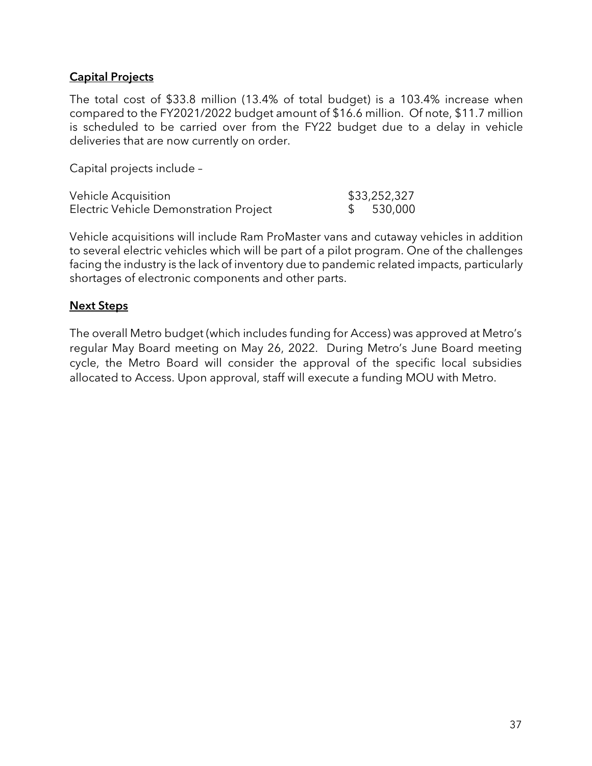#### Capital Projects

The total cost of \$33.8 million (13.4% of total budget) is a 103.4% increase when compared to the FY2021/2022 budget amount of \$16.6 million. Of note, \$11.7 million is scheduled to be carried over from the FY22 budget due to a delay in vehicle deliveries that are now currently on order.

Capital projects include –

| Vehicle Acquisition                    | \$33,252,327 |
|----------------------------------------|--------------|
| Electric Vehicle Demonstration Project | \$530,000    |

Vehicle acquisitions will include Ram ProMaster vans and cutaway vehicles in addition to several electric vehicles which will be part of a pilot program. One of the challenges facing the industry is the lack of inventory due to pandemic related impacts, particularly shortages of electronic components and other parts.

#### Next Steps

The overall Metro budget (which includes funding for Access) was approved at Metro's regular May Board meeting on May 26, 2022. During Metro's June Board meeting cycle, the Metro Board will consider the approval of the specific local subsidies allocated to Access. Upon approval, staff will execute a funding MOU with Metro.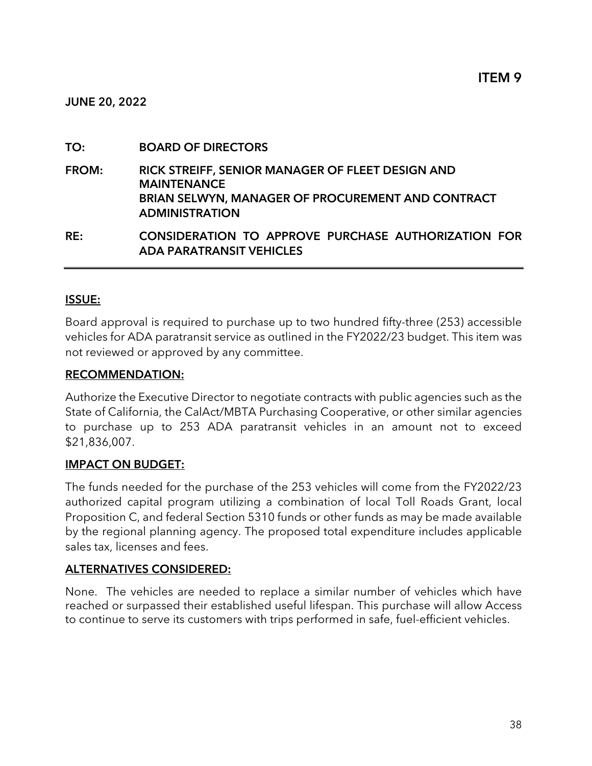JUNE 20, 2022

#### TO: BOARD OF DIRECTORS

FROM: RICK STREIFF, SENIOR MANAGER OF FLEET DESIGN AND **MAINTENANCE** BRIAN SELWYN, MANAGER OF PROCUREMENT AND CONTRACT ADMINISTRATION

RE: CONSIDERATION TO APPROVE PURCHASE AUTHORIZATION FOR ADA PARATRANSIT VEHICLES

#### ISSUE:

Board approval is required to purchase up to two hundred fifty-three (253) accessible vehicles for ADA paratransit service as outlined in the FY2022/23 budget. This item was not reviewed or approved by any committee.

#### RECOMMENDATION:

Authorize the Executive Director to negotiate contracts with public agencies such as the State of California, the CalAct/MBTA Purchasing Cooperative, or other similar agencies to purchase up to 253 ADA paratransit vehicles in an amount not to exceed \$21,836,007.

#### IMPACT ON BUDGET:

The funds needed for the purchase of the 253 vehicles will come from the FY2022/23 authorized capital program utilizing a combination of local Toll Roads Grant, local Proposition C, and federal Section 5310 funds or other funds as may be made available by the regional planning agency. The proposed total expenditure includes applicable sales tax, licenses and fees.

#### ALTERNATIVES CONSIDERED:

None. The vehicles are needed to replace a similar number of vehicles which have reached or surpassed their established useful lifespan. This purchase will allow Access to continue to serve its customers with trips performed in safe, fuel-efficient vehicles.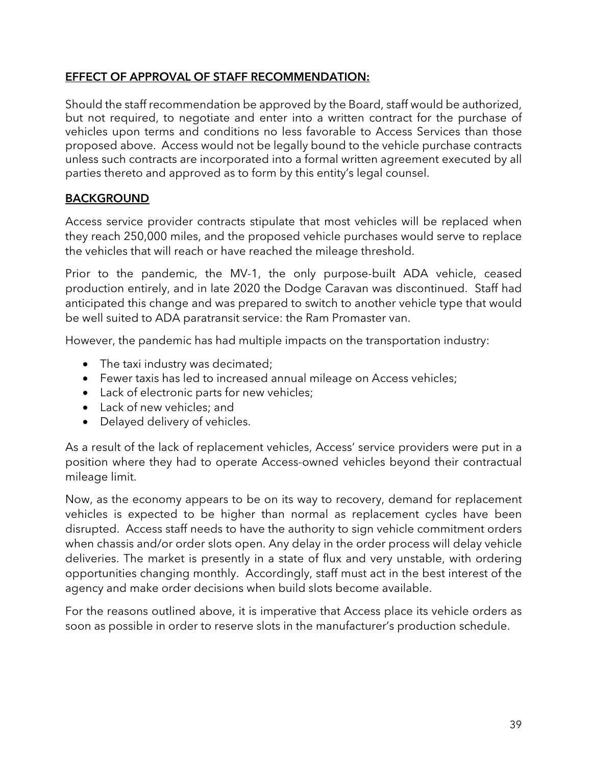## EFFECT OF APPROVAL OF STAFF RECOMMENDATION:

Should the staff recommendation be approved by the Board, staff would be authorized, but not required, to negotiate and enter into a written contract for the purchase of vehicles upon terms and conditions no less favorable to Access Services than those proposed above. Access would not be legally bound to the vehicle purchase contracts unless such contracts are incorporated into a formal written agreement executed by all parties thereto and approved as to form by this entity's legal counsel.

# BACKGROUND

Access service provider contracts stipulate that most vehicles will be replaced when they reach 250,000 miles, and the proposed vehicle purchases would serve to replace the vehicles that will reach or have reached the mileage threshold.

Prior to the pandemic, the MV-1, the only purpose-built ADA vehicle, ceased production entirely, and in late 2020 the Dodge Caravan was discontinued. Staff had anticipated this change and was prepared to switch to another vehicle type that would be well suited to ADA paratransit service: the Ram Promaster van.

However, the pandemic has had multiple impacts on the transportation industry:

- The taxi industry was decimated;
- Fewer taxis has led to increased annual mileage on Access vehicles;
- Lack of electronic parts for new vehicles;
- Lack of new vehicles; and
- Delayed delivery of vehicles.

As a result of the lack of replacement vehicles, Access' service providers were put in a position where they had to operate Access-owned vehicles beyond their contractual mileage limit.

Now, as the economy appears to be on its way to recovery, demand for replacement vehicles is expected to be higher than normal as replacement cycles have been disrupted. Access staff needs to have the authority to sign vehicle commitment orders when chassis and/or order slots open. Any delay in the order process will delay vehicle deliveries. The market is presently in a state of flux and very unstable, with ordering opportunities changing monthly. Accordingly, staff must act in the best interest of the agency and make order decisions when build slots become available.

For the reasons outlined above, it is imperative that Access place its vehicle orders as soon as possible in order to reserve slots in the manufacturer's production schedule.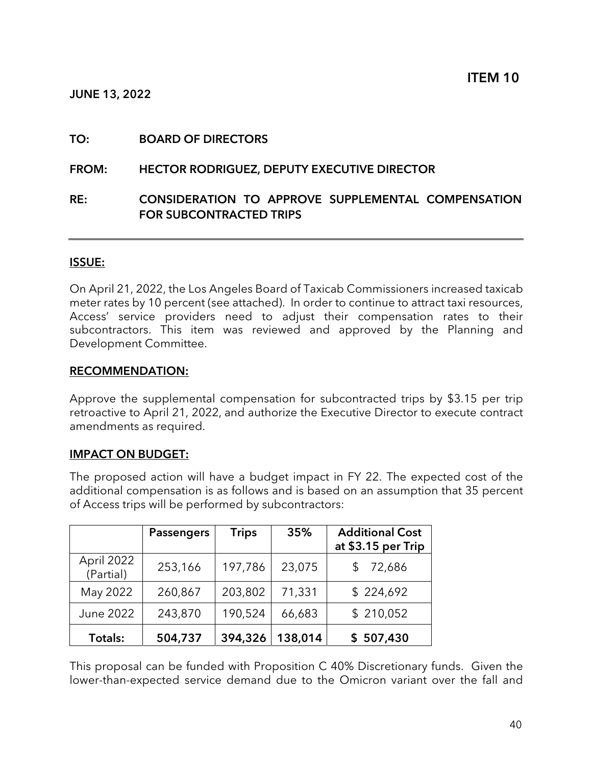JUNE 13, 2022

#### TO: BOARD OF DIRECTORS

#### FROM: HECTOR RODRIGUEZ, DEPUTY EXECUTIVE DIRECTOR

#### RE: CONSIDERATION TO APPROVE SUPPLEMENTAL COMPENSATION FOR SUBCONTRACTED TRIPS

#### ISSUE:

On April 21, 2022, the Los Angeles Board of Taxicab Commissioners increased taxicab meter rates by 10 percent (see attached). In order to continue to attract taxi resources, Access' service providers need to adjust their compensation rates to their subcontractors. This item was reviewed and approved by the Planning and Development Committee.

#### RECOMMENDATION:

Approve the supplemental compensation for subcontracted trips by \$3.15 per trip retroactive to April 21, 2022, and authorize the Executive Director to execute contract amendments as required.

#### IMPACT ON BUDGET:

The proposed action will have a budget impact in FY 22. The expected cost of the additional compensation is as follows and is based on an assumption that 35 percent of Access trips will be performed by subcontractors:

|                         | <b>Passengers</b> | <b>Trips</b> | 35%     | <b>Additional Cost</b><br>at \$3.15 per Trip |
|-------------------------|-------------------|--------------|---------|----------------------------------------------|
| April 2022<br>(Partial) | 253,166           | 197,786      | 23,075  | 72,686                                       |
| May 2022                | 260,867           | 203,802      | 71,331  | \$224,692                                    |
| June 2022               | 243,870           | 190,524      | 66,683  | \$210,052                                    |
| Totals:                 | 504,737           | 394,326      | 138,014 | \$507,430                                    |

This proposal can be funded with Proposition C 40% Discretionary funds. Given the lower-than-expected service demand due to the Omicron variant over the fall and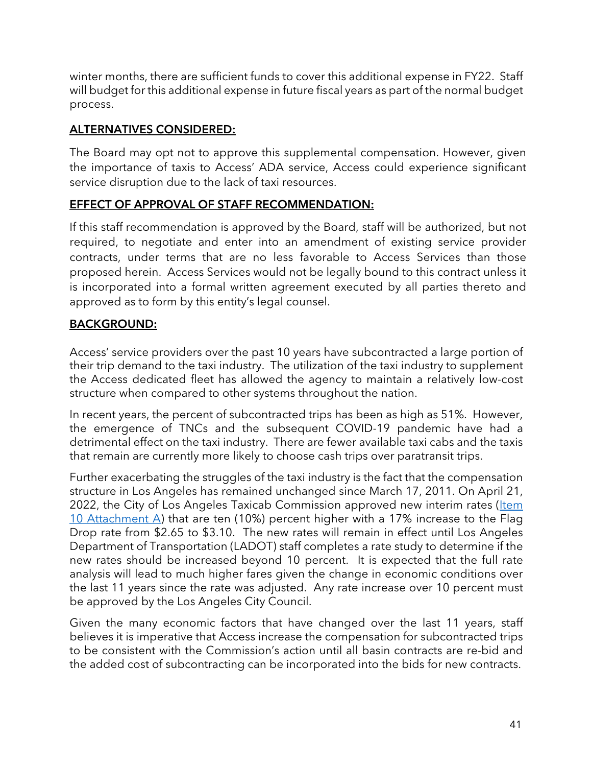winter months, there are sufficient funds to cover this additional expense in FY22. Staff will budget for this additional expense in future fiscal years as part of the normal budget process.

# ALTERNATIVES CONSIDERED:

The Board may opt not to approve this supplemental compensation. However, given the importance of taxis to Access' ADA service, Access could experience significant service disruption due to the lack of taxi resources.

## EFFECT OF APPROVAL OF STAFF RECOMMENDATION:

If this staff recommendation is approved by the Board, staff will be authorized, but not required, to negotiate and enter into an amendment of existing service provider contracts, under terms that are no less favorable to Access Services than those proposed herein. Access Services would not be legally bound to this contract unless it is incorporated into a formal written agreement executed by all parties thereto and approved as to form by this entity's legal counsel.

# BACKGROUND:

Access' service providers over the past 10 years have subcontracted a large portion of their trip demand to the taxi industry. The utilization of the taxi industry to supplement the Access dedicated fleet has allowed the agency to maintain a relatively low-cost structure when compared to other systems throughout the nation.

In recent years, the percent of subcontracted trips has been as high as 51%. However, the emergence of TNCs and the subsequent COVID-19 pandemic have had a detrimental effect on the taxi industry. There are fewer available taxi cabs and the taxis that remain are currently more likely to choose cash trips over paratransit trips.

Further exacerbating the struggles of the taxi industry is the fact that the compensation structure in Los Angeles has remained unchanged since March 17, 2011. On April 21, [2022, the City of Los Angeles Taxicab Commission approved new interim rates \(Item](https://accessla.org/sites/default/files/Agendas/June%2020%202022%20Board%20Meeting%20Attachments.pdf) 10 Attachment A) that are ten (10%) percent higher with a 17% increase to the Flag Drop rate from \$2.65 to \$3.10. The new rates will remain in effect until Los Angeles Department of Transportation (LADOT) staff completes a rate study to determine if the new rates should be increased beyond 10 percent. It is expected that the full rate analysis will lead to much higher fares given the change in economic conditions over the last 11 years since the rate was adjusted. Any rate increase over 10 percent must be approved by the Los Angeles City Council.

Given the many economic factors that have changed over the last 11 years, staff believes it is imperative that Access increase the compensation for subcontracted trips to be consistent with the Commission's action until all basin contracts are re-bid and the added cost of subcontracting can be incorporated into the bids for new contracts.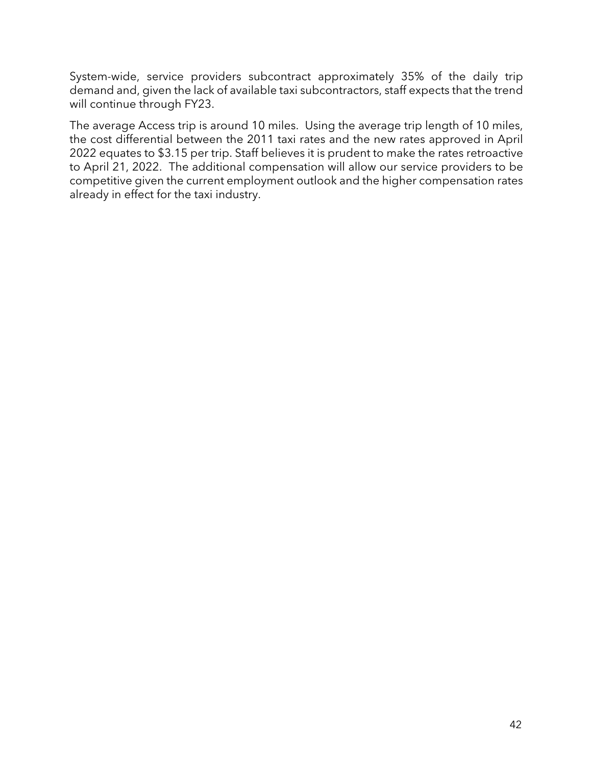System-wide, service providers subcontract approximately 35% of the daily trip demand and, given the lack of available taxi subcontractors, staff expects that the trend will continue through FY23.

The average Access trip is around 10 miles. Using the average trip length of 10 miles, the cost differential between the 2011 taxi rates and the new rates approved in April 2022 equates to \$3.15 per trip. Staff believes it is prudent to make the rates retroactive to April 21, 2022. The additional compensation will allow our service providers to be competitive given the current employment outlook and the higher compensation rates already in effect for the taxi industry.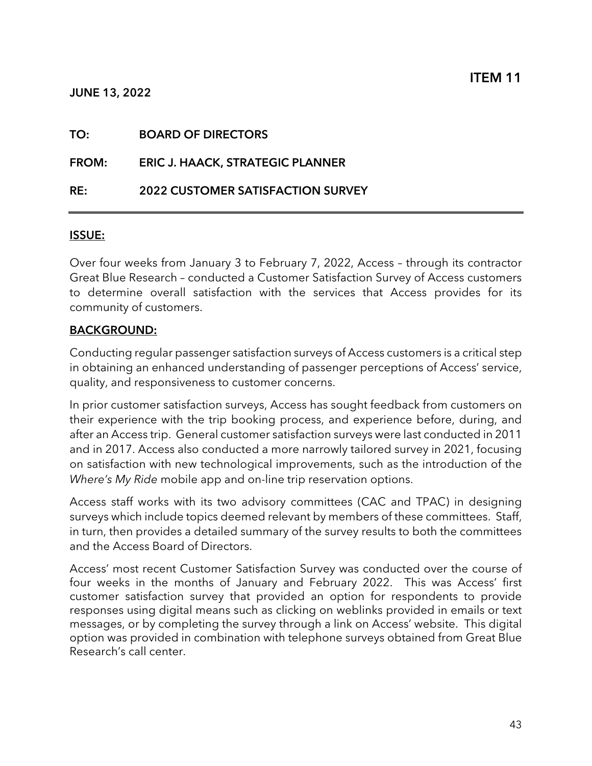|  | TO: | <b>BOARD OF DIRECTORS</b> |
|--|-----|---------------------------|
|--|-----|---------------------------|

FROM: ERIC J. HAACK, STRATEGIC PLANNER

RE: 2022 CUSTOMER SATISFACTION SURVEY

#### ISSUE:

Over four weeks from January 3 to February 7, 2022, Access – through its contractor Great Blue Research – conducted a Customer Satisfaction Survey of Access customers to determine overall satisfaction with the services that Access provides for its community of customers.

#### BACKGROUND:

Conducting regular passenger satisfaction surveys of Access customers is a critical step in obtaining an enhanced understanding of passenger perceptions of Access' service, quality, and responsiveness to customer concerns.

In prior customer satisfaction surveys, Access has sought feedback from customers on their experience with the trip booking process, and experience before, during, and after an Access trip. General customer satisfaction surveys were last conducted in 2011 and in 2017. Access also conducted a more narrowly tailored survey in 2021, focusing on satisfaction with new technological improvements, such as the introduction of the Where's My Ride mobile app and on-line trip reservation options.

Access staff works with its two advisory committees (CAC and TPAC) in designing surveys which include topics deemed relevant by members of these committees. Staff, in turn, then provides a detailed summary of the survey results to both the committees and the Access Board of Directors.

Access' most recent Customer Satisfaction Survey was conducted over the course of four weeks in the months of January and February 2022. This was Access' first customer satisfaction survey that provided an option for respondents to provide responses using digital means such as clicking on weblinks provided in emails or text messages, or by completing the survey through a link on Access' website. This digital option was provided in combination with telephone surveys obtained from Great Blue Research's call center.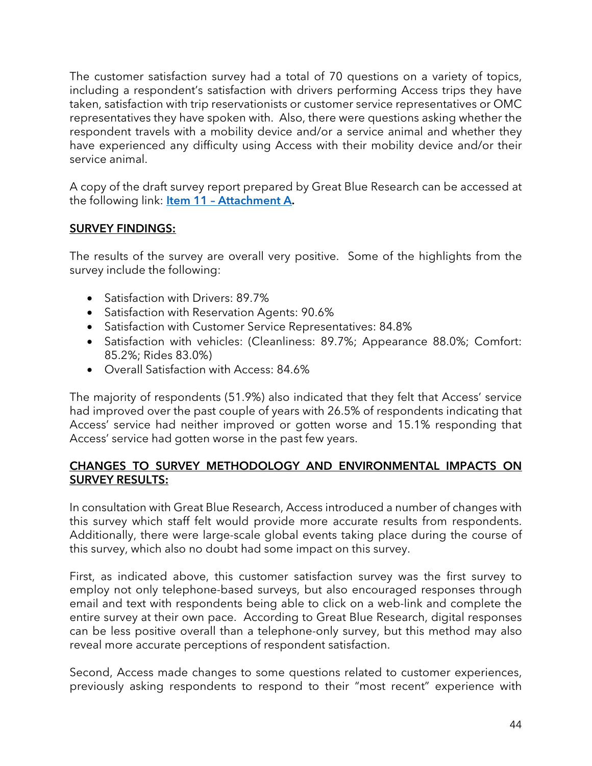The customer satisfaction survey had a total of 70 questions on a variety of topics, including a respondent's satisfaction with drivers performing Access trips they have taken, satisfaction with trip reservationists or customer service representatives or OMC representatives they have spoken with. Also, there were questions asking whether the respondent travels with a mobility device and/or a service animal and whether they have experienced any difficulty using Access with their mobility device and/or their service animal.

A copy of the draft survey report prepared by Great Blue Research can be accessed at the following link: **Item 11 - Attachment A.** 

## SURVEY FINDINGS:

The results of the survey are overall very positive. Some of the highlights from the survey include the following:

- Satisfaction with Drivers: 89.7%
- Satisfaction with Reservation Agents: 90.6%
- Satisfaction with Customer Service Representatives: 84.8%
- Satisfaction with vehicles: (Cleanliness: 89.7%; Appearance 88.0%; Comfort: 85.2%; Rides 83.0%)
- Overall Satisfaction with Access: 84.6%

The majority of respondents (51.9%) also indicated that they felt that Access' service had improved over the past couple of years with 26.5% of respondents indicating that Access' service had neither improved or gotten worse and 15.1% responding that Access' service had gotten worse in the past few years.

#### CHANGES TO SURVEY METHODOLOGY AND ENVIRONMENTAL IMPACTS ON SURVEY RESULTS:

In consultation with Great Blue Research, Access introduced a number of changes with this survey which staff felt would provide more accurate results from respondents. Additionally, there were large-scale global events taking place during the course of this survey, which also no doubt had some impact on this survey.

First, as indicated above, this customer satisfaction survey was the first survey to employ not only telephone-based surveys, but also encouraged responses through email and text with respondents being able to click on a web-link and complete the entire survey at their own pace. According to Great Blue Research, digital responses can be less positive overall than a telephone-only survey, but this method may also reveal more accurate perceptions of respondent satisfaction.

Second, Access made changes to some questions related to customer experiences, previously asking respondents to respond to their "most recent" experience with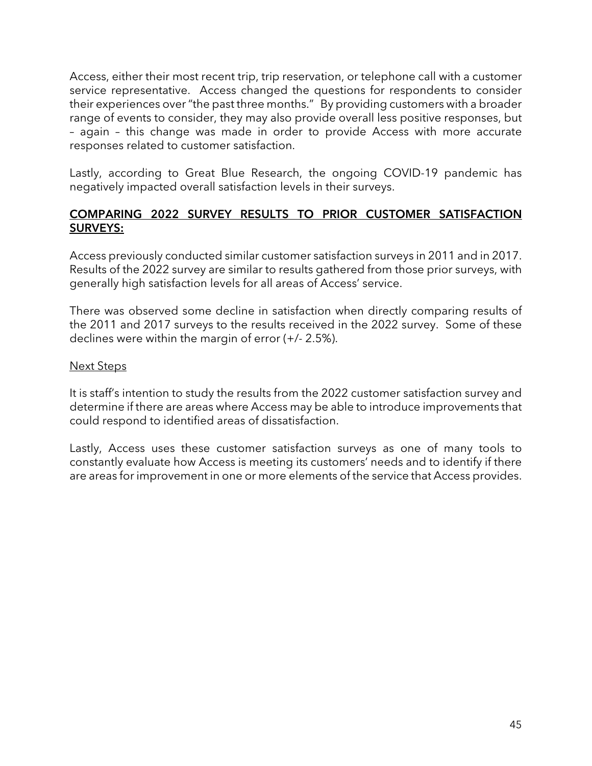Access, either their most recent trip, trip reservation, or telephone call with a customer service representative. Access changed the questions for respondents to consider their experiences over "the past three months." By providing customers with a broader range of events to consider, they may also provide overall less positive responses, but – again – this change was made in order to provide Access with more accurate responses related to customer satisfaction.

Lastly, according to Great Blue Research, the ongoing COVID-19 pandemic has negatively impacted overall satisfaction levels in their surveys.

#### COMPARING 2022 SURVEY RESULTS TO PRIOR CUSTOMER SATISFACTION SURVEYS:

Access previously conducted similar customer satisfaction surveys in 2011 and in 2017. Results of the 2022 survey are similar to results gathered from those prior surveys, with generally high satisfaction levels for all areas of Access' service.

There was observed some decline in satisfaction when directly comparing results of the 2011 and 2017 surveys to the results received in the 2022 survey. Some of these declines were within the margin of error (+/- 2.5%).

#### Next Steps

It is staff's intention to study the results from the 2022 customer satisfaction survey and determine if there are areas where Access may be able to introduce improvements that could respond to identified areas of dissatisfaction.

Lastly, Access uses these customer satisfaction surveys as one of many tools to constantly evaluate how Access is meeting its customers' needs and to identify if there are areas for improvement in one or more elements of the service that Access provides.